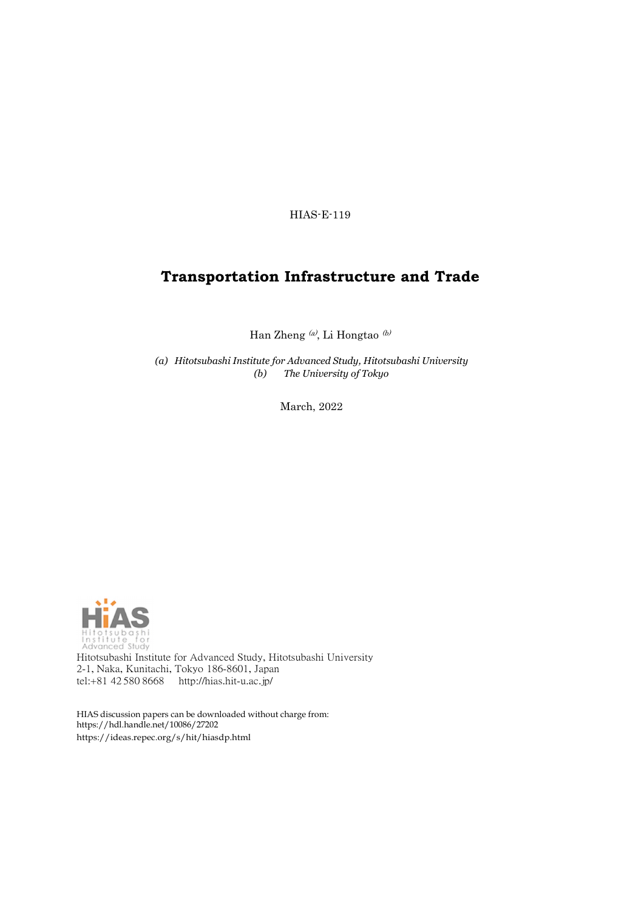HIAS-E-119

### **Transportation Infrastructure and Trade**

Han Zheng (a), Li Hongtao (b)

*(a) Hitotsubashi Institute for Advanced Study, Hitotsubashi University (b) The University of Tokyo*

March, 2022



Hitotsubashi Institute for Advanced Study, Hitotsubashi University 2-1, Naka, Kunitachi, Tokyo 186-8601, Japan tel:+81 42 580 8668 <http://hias.hit-u.ac.jp/>

HIAS discussion papers can be downloaded without charge from: [https://hdl.handle.net/10086/27202](http://hdl.handle.net/10086/27202) https://ideas.repec.org/s/hit/hiasdp.html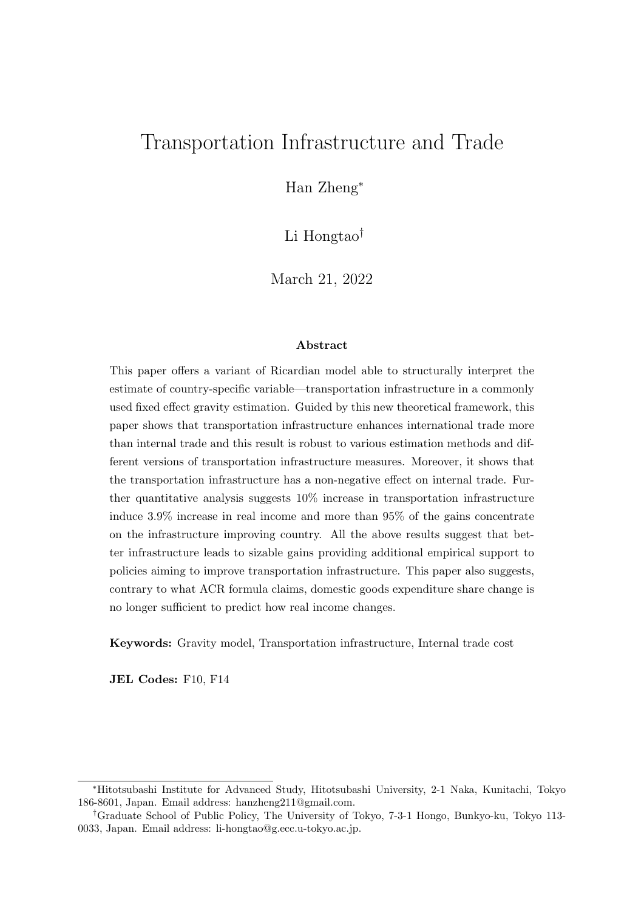# Transportation Infrastructure and Trade

Han Zheng<sup>∗</sup>

Li Hongtao†

March 21, 2022

#### Abstract

This paper offers a variant of Ricardian model able to structurally interpret the estimate of country-specific variable—transportation infrastructure in a commonly used fixed effect gravity estimation. Guided by this new theoretical framework, this paper shows that transportation infrastructure enhances international trade more than internal trade and this result is robust to various estimation methods and different versions of transportation infrastructure measures. Moreover, it shows that the transportation infrastructure has a non-negative effect on internal trade. Further quantitative analysis suggests 10% increase in transportation infrastructure induce 3.9% increase in real income and more than 95% of the gains concentrate on the infrastructure improving country. All the above results suggest that better infrastructure leads to sizable gains providing additional empirical support to policies aiming to improve transportation infrastructure. This paper also suggests, contrary to what ACR formula claims, domestic goods expenditure share change is no longer sufficient to predict how real income changes.

Keywords: Gravity model, Transportation infrastructure, Internal trade cost

JEL Codes: F10, F14

<sup>∗</sup>Hitotsubashi Institute for Advanced Study, Hitotsubashi University, 2-1 Naka, Kunitachi, Tokyo 186-8601, Japan. Email address: hanzheng211@gmail.com.

<sup>†</sup>Graduate School of Public Policy, The University of Tokyo, 7-3-1 Hongo, Bunkyo-ku, Tokyo 113- 0033, Japan. Email address: li-hongtao@g.ecc.u-tokyo.ac.jp.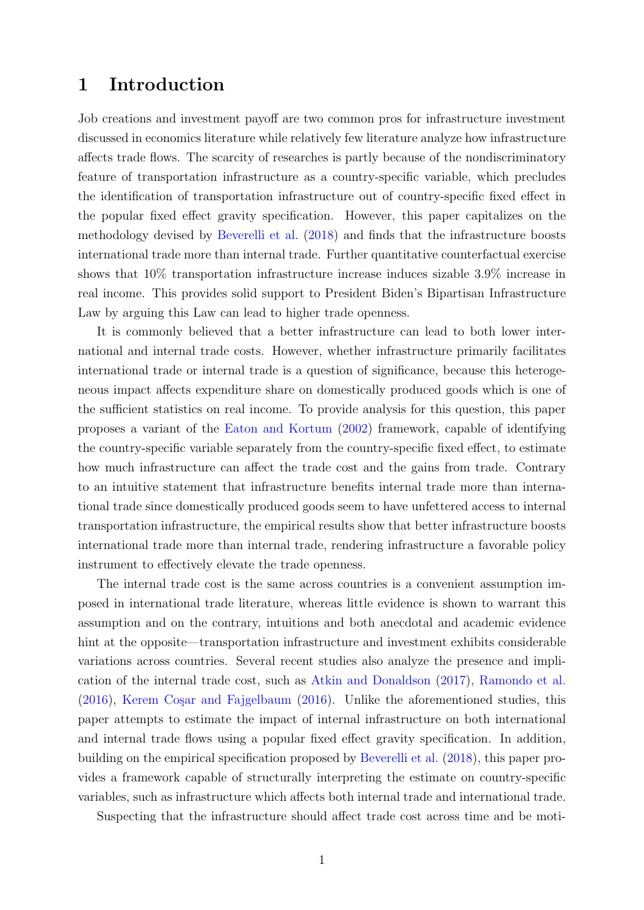## 1 Introduction

Job creations and investment payoff are two common pros for infrastructure investment discussed in economics literature while relatively few literature analyze how infrastructure affects trade flows. The scarcity of researches is partly because of the nondiscriminatory feature of transportation infrastructure as a country-specific variable, which precludes the identification of transportation infrastructure out of country-specific fixed effect in the popular fixed effect gravity specification. However, this paper capitalizes on the methodology devised by [Beverelli et al.](#page-37-0) [\(2018\)](#page-37-0) and finds that the infrastructure boosts international trade more than internal trade. Further quantitative counterfactual exercise shows that 10% transportation infrastructure increase induces sizable 3.9% increase in real income. This provides solid support to President Biden's Bipartisan Infrastructure Law by arguing this Law can lead to higher trade openness.

It is commonly believed that a better infrastructure can lead to both lower international and internal trade costs. However, whether infrastructure primarily facilitates international trade or internal trade is a question of significance, because this heterogeneous impact affects expenditure share on domestically produced goods which is one of the sufficient statistics on real income. To provide analysis for this question, this paper proposes a variant of the [Eaton and Kortum](#page-38-0) [\(2002\)](#page-38-0) framework, capable of identifying the country-specific variable separately from the country-specific fixed effect, to estimate how much infrastructure can affect the trade cost and the gains from trade. Contrary to an intuitive statement that infrastructure benefits internal trade more than international trade since domestically produced goods seem to have unfettered access to internal transportation infrastructure, the empirical results show that better infrastructure boosts international trade more than internal trade, rendering infrastructure a favorable policy instrument to effectively elevate the trade openness.

The internal trade cost is the same across countries is a convenient assumption imposed in international trade literature, whereas little evidence is shown to warrant this assumption and on the contrary, intuitions and both anecdotal and academic evidence hint at the opposite—transportation infrastructure and investment exhibits considerable variations across countries. Several recent studies also analyze the presence and implication of the internal trade cost, such as [Atkin and Donaldson](#page-37-1) [\(2017\)](#page-37-1), [Ramondo et al.](#page-39-0)  $(2016)$ , Kerem Coşar and Fajgelbaum  $(2016)$ . Unlike the aforementioned studies, this paper attempts to estimate the impact of internal infrastructure on both international and internal trade flows using a popular fixed effect gravity specification. In addition, building on the empirical specification proposed by [Beverelli et al.](#page-37-0) [\(2018\)](#page-37-0), this paper provides a framework capable of structurally interpreting the estimate on country-specific variables, such as infrastructure which affects both internal trade and international trade.

Suspecting that the infrastructure should affect trade cost across time and be moti-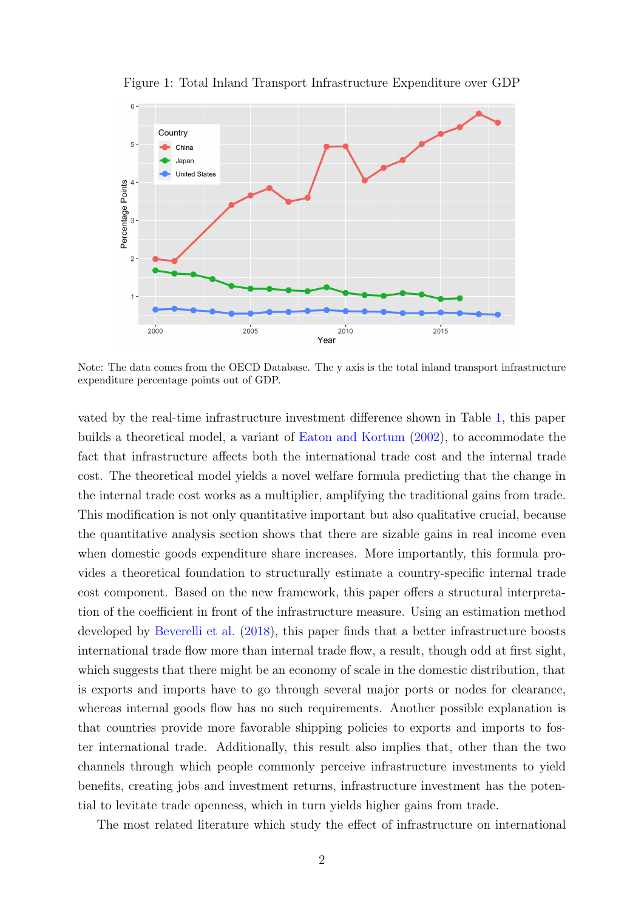

<span id="page-3-0"></span>Figure 1: Total Inland Transport Infrastructure Expenditure over GDP

Note: The data comes from the OECD Database. The y axis is the total inland transport infrastructure expenditure percentage points out of GDP.

vated by the real-time infrastructure investment difference shown in Table [1,](#page-3-0) this paper builds a theoretical model, a variant of [Eaton and Kortum](#page-38-0) [\(2002\)](#page-38-0), to accommodate the fact that infrastructure affects both the international trade cost and the internal trade cost. The theoretical model yields a novel welfare formula predicting that the change in the internal trade cost works as a multiplier, amplifying the traditional gains from trade. This modification is not only quantitative important but also qualitative crucial, because the quantitative analysis section shows that there are sizable gains in real income even when domestic goods expenditure share increases. More importantly, this formula provides a theoretical foundation to structurally estimate a country-specific internal trade cost component. Based on the new framework, this paper offers a structural interpretation of the coefficient in front of the infrastructure measure. Using an estimation method developed by [Beverelli et al.](#page-37-0) [\(2018\)](#page-37-0), this paper finds that a better infrastructure boosts international trade flow more than internal trade flow, a result, though odd at first sight, which suggests that there might be an economy of scale in the domestic distribution, that is exports and imports have to go through several major ports or nodes for clearance, whereas internal goods flow has no such requirements. Another possible explanation is that countries provide more favorable shipping policies to exports and imports to foster international trade. Additionally, this result also implies that, other than the two channels through which people commonly perceive infrastructure investments to yield benefits, creating jobs and investment returns, infrastructure investment has the potential to levitate trade openness, which in turn yields higher gains from trade.

The most related literature which study the effect of infrastructure on international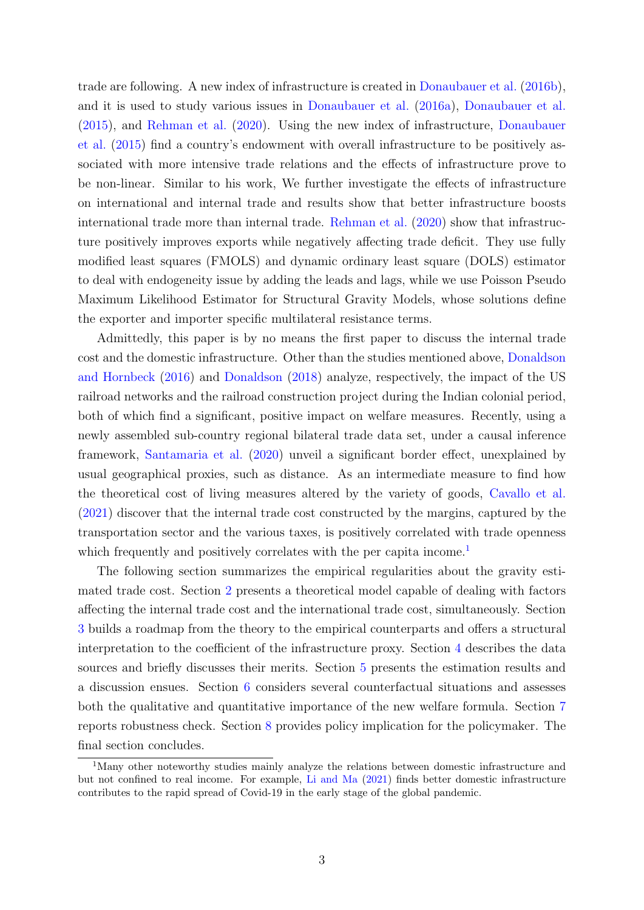trade are following. A new index of infrastructure is created in [Donaubauer et al.](#page-38-2) [\(2016b\)](#page-38-2), and it is used to study various issues in [Donaubauer et al.](#page-38-3) [\(2016a\)](#page-38-3), [Donaubauer et al.](#page-38-4) [\(2015\)](#page-38-4), and [Rehman et al.](#page-39-1) [\(2020\)](#page-39-1). Using the new index of infrastructure, [Donaubauer](#page-38-4) [et al.](#page-38-4) [\(2015\)](#page-38-4) find a country's endowment with overall infrastructure to be positively associated with more intensive trade relations and the effects of infrastructure prove to be non-linear. Similar to his work, We further investigate the effects of infrastructure on international and internal trade and results show that better infrastructure boosts international trade more than internal trade. [Rehman et al.](#page-39-1) [\(2020\)](#page-39-1) show that infrastructure positively improves exports while negatively affecting trade deficit. They use fully modified least squares (FMOLS) and dynamic ordinary least square (DOLS) estimator to deal with endogeneity issue by adding the leads and lags, while we use Poisson Pseudo Maximum Likelihood Estimator for Structural Gravity Models, whose solutions define the exporter and importer specific multilateral resistance terms.

Admittedly, this paper is by no means the first paper to discuss the internal trade cost and the domestic infrastructure. Other than the studies mentioned above, [Donaldson](#page-37-2) [and Hornbeck](#page-37-2) [\(2016\)](#page-37-2) and [Donaldson](#page-37-3) [\(2018\)](#page-37-3) analyze, respectively, the impact of the US railroad networks and the railroad construction project during the Indian colonial period, both of which find a significant, positive impact on welfare measures. Recently, using a newly assembled sub-country regional bilateral trade data set, under a causal inference framework, [Santamaria et al.](#page-39-2) [\(2020\)](#page-39-2) unveil a significant border effect, unexplained by usual geographical proxies, such as distance. As an intermediate measure to find how the theoretical cost of living measures altered by the variety of goods, [Cavallo et al.](#page-37-4) [\(2021\)](#page-37-4) discover that the internal trade cost constructed by the margins, captured by the transportation sector and the various taxes, is positively correlated with trade openness which frequently and positively correlates with the per capita income.<sup>[1](#page-4-0)</sup>

The following section summarizes the empirical regularities about the gravity estimated trade cost. Section [2](#page-5-0) presents a theoretical model capable of dealing with factors affecting the internal trade cost and the international trade cost, simultaneously. Section [3](#page-8-0) builds a roadmap from the theory to the empirical counterparts and offers a structural interpretation to the coefficient of the infrastructure proxy. Section [4](#page-10-0) describes the data sources and briefly discusses their merits. Section [5](#page-13-0) presents the estimation results and a discussion ensues. Section [6](#page-20-0) considers several counterfactual situations and assesses both the qualitative and quantitative importance of the new welfare formula. Section [7](#page-24-0) reports robustness check. Section [8](#page-35-0) provides policy implication for the policymaker. The final section concludes.

<span id="page-4-0"></span><sup>&</sup>lt;sup>1</sup>Many other noteworthy studies mainly analyze the relations between domestic infrastructure and but not confined to real income. For example, [Li and Ma](#page-38-5) [\(2021\)](#page-38-5) finds better domestic infrastructure contributes to the rapid spread of Covid-19 in the early stage of the global pandemic.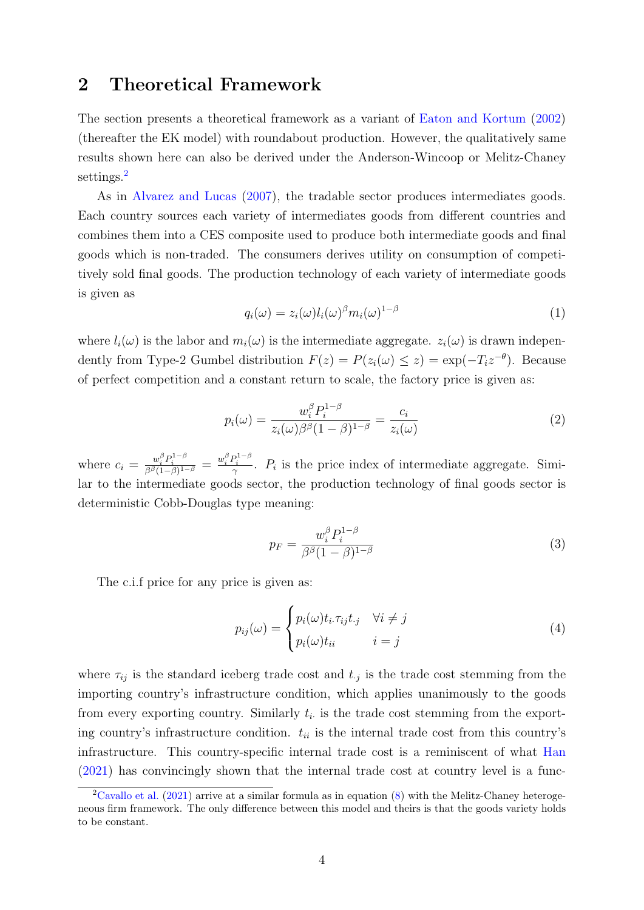## <span id="page-5-0"></span>2 Theoretical Framework

The section presents a theoretical framework as a variant of [Eaton and Kortum](#page-38-0) [\(2002\)](#page-38-0) (thereafter the EK model) with roundabout production. However, the qualitatively same results shown here can also be derived under the Anderson-Wincoop or Melitz-Chaney settings.<sup>[2](#page-5-1)</sup>

As in [Alvarez and Lucas](#page-37-5) [\(2007\)](#page-37-5), the tradable sector produces intermediates goods. Each country sources each variety of intermediates goods from different countries and combines them into a CES composite used to produce both intermediate goods and final goods which is non-traded. The consumers derives utility on consumption of competitively sold final goods. The production technology of each variety of intermediate goods is given as

$$
q_i(\omega) = z_i(\omega)l_i(\omega)^{\beta}m_i(\omega)^{1-\beta} \tag{1}
$$

where  $l_i(\omega)$  is the labor and  $m_i(\omega)$  is the intermediate aggregate.  $z_i(\omega)$  is drawn independently from Type-2 Gumbel distribution  $F(z) = P(z_i(\omega) \leq z) = \exp(-T_i z^{-\theta})$ . Because of perfect competition and a constant return to scale, the factory price is given as:

$$
p_i(\omega) = \frac{w_i^{\beta} P_i^{1-\beta}}{z_i(\omega)\beta^{\beta}(1-\beta)^{1-\beta}} = \frac{c_i}{z_i(\omega)}
$$
(2)

where  $c_i = \frac{w_i^{\beta} P_i^{1-\beta}}{\beta^{\beta} (1-\beta)^{1-\beta}} = \frac{w_i^{\beta} P_i^{1-\beta}}{\gamma}$ .  $P_i$  is the price index of intermediate aggregate. Similar to the intermediate goods sector, the production technology of final goods sector is deterministic Cobb-Douglas type meaning:

$$
p_F = \frac{w_i^{\beta} P_i^{1-\beta}}{\beta^{\beta} (1-\beta)^{1-\beta}}
$$
\n(3)

The c.i.f price for any price is given as:

$$
p_{ij}(\omega) = \begin{cases} p_i(\omega)t_i.\tau_{ij}t_j & \forall i \neq j \\ p_i(\omega)t_{ii} & i = j \end{cases}
$$
 (4)

where  $\tau_{ij}$  is the standard iceberg trade cost and  $t_{.j}$  is the trade cost stemming from the importing country's infrastructure condition, which applies unanimously to the goods from every exporting country. Similarly  $t_i$  is the trade cost stemming from the exporting country's infrastructure condition.  $t_{ii}$  is the internal trade cost from this country's infrastructure. This country-specific internal trade cost is a reminiscent of what [Han](#page-38-6) [\(2021\)](#page-38-6) has convincingly shown that the internal trade cost at country level is a func-

<span id="page-5-1"></span><sup>&</sup>lt;sup>2</sup>[Cavallo et al.](#page-37-4) [\(2021\)](#page-37-4) arrive at a similar formula as in equation  $(8)$  with the Melitz-Chaney heterogeneous firm framework. The only difference between this model and theirs is that the goods variety holds to be constant.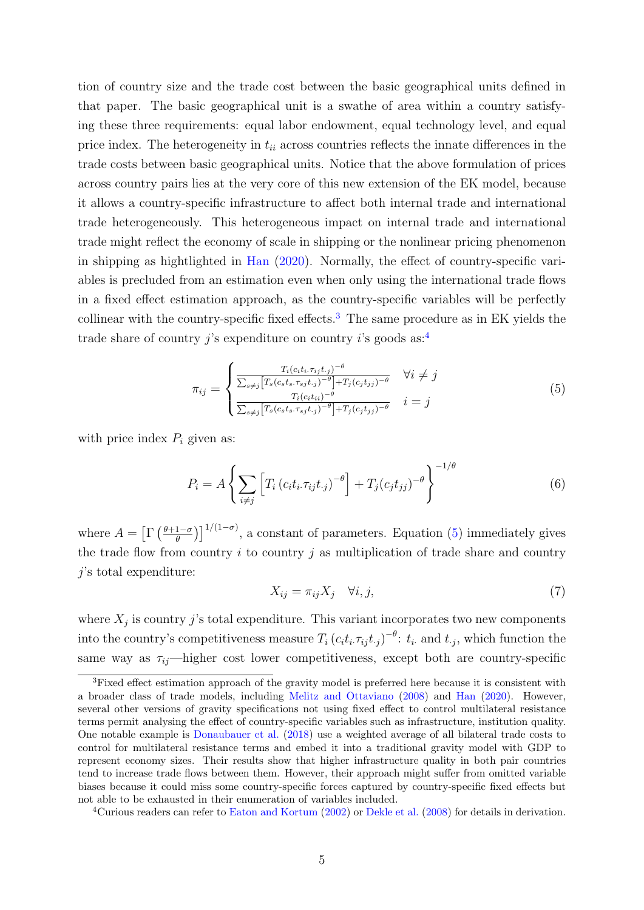tion of country size and the trade cost between the basic geographical units defined in that paper. The basic geographical unit is a swathe of area within a country satisfying these three requirements: equal labor endowment, equal technology level, and equal price index. The heterogeneity in  $t_{ii}$  across countries reflects the innate differences in the trade costs between basic geographical units. Notice that the above formulation of prices across country pairs lies at the very core of this new extension of the EK model, because it allows a country-specific infrastructure to affect both internal trade and international trade heterogeneously. This heterogeneous impact on internal trade and international trade might reflect the economy of scale in shipping or the nonlinear pricing phenomenon in shipping as hightlighted in [Han](#page-38-7) [\(2020\)](#page-38-7). Normally, the effect of country-specific variables is precluded from an estimation even when only using the international trade flows in a fixed effect estimation approach, as the country-specific variables will be perfectly collinear with the country-specific fixed effects.<sup>[3](#page-6-0)</sup> The same procedure as in EK yields the trade share of country j's expenditure on country i's goods as:<sup>[4](#page-6-1)</sup>

<span id="page-6-2"></span>
$$
\pi_{ij} = \begin{cases}\n\frac{T_i(c_it_i, \tau_{ij}t_{\cdot,j})^{-\theta}}{\sum_{s \neq j} \left[T_s(c_s t_s, \tau_{sj}t_{\cdot,j})^{-\theta}\right] + T_j(c_j t_{\cdot,j})^{-\theta}} & \forall i \neq j \\
\frac{T_i(c_i t_{\cdot i})^{-\theta}}{\sum_{s \neq j} \left[T_s(c_s t_s, \tau_{sj}t_{\cdot,j})^{-\theta}\right] + T_j(c_j t_{\cdot,j})^{-\theta}} & i = j\n\end{cases}
$$
\n(5)

with price index  $P_i$  given as:

$$
P_i = A \left\{ \sum_{i \neq j} \left[ T_i \left( c_i t_i \tau_{ij} t_{\cdot j} \right)^{-\theta} \right] + T_j (c_j t_{jj})^{-\theta} \right\}^{-1/\theta} \tag{6}
$$

where  $A = \left[ \Gamma \left( \frac{\theta + 1 - \sigma}{\theta} \right) \right]$  $\left[\frac{1-\sigma}{\theta}\right]^{1/(1-\sigma)}$ , a constant of parameters. Equation [\(5\)](#page-6-2) immediately gives the trade flow from country  $i$  to country  $j$  as multiplication of trade share and country j's total expenditure:

<span id="page-6-3"></span>
$$
X_{ij} = \pi_{ij} X_j \quad \forall i, j,
$$
\n<sup>(7)</sup>

where  $X_j$  is country j's total expenditure. This variant incorporates two new components into the country's competitiveness measure  $T_i(c_it_i.\tau_{ij}t_{.j})^{-\theta}$ :  $t_i$  and  $t_{.j}$ , which function the same way as  $\tau_{ij}$ —higher cost lower competitiveness, except both are country-specific

<span id="page-6-0"></span><sup>3</sup>Fixed effect estimation approach of the gravity model is preferred here because it is consistent with a broader class of trade models, including [Melitz and Ottaviano](#page-39-3) [\(2008\)](#page-39-3) and [Han](#page-38-7) [\(2020\)](#page-38-7). However, several other versions of gravity specifications not using fixed effect to control multilateral resistance terms permit analysing the effect of country-specific variables such as infrastructure, institution quality. One notable example is [Donaubauer et al.](#page-37-6) [\(2018\)](#page-37-6) use a weighted average of all bilateral trade costs to control for multilateral resistance terms and embed it into a traditional gravity model with GDP to represent economy sizes. Their results show that higher infrastructure quality in both pair countries tend to increase trade flows between them. However, their approach might suffer from omitted variable biases because it could miss some country-specific forces captured by country-specific fixed effects but not able to be exhausted in their enumeration of variables included.

<span id="page-6-1"></span><sup>4</sup>Curious readers can refer to [Eaton and Kortum](#page-38-0) [\(2002\)](#page-38-0) or [Dekle et al.](#page-37-7) [\(2008\)](#page-37-7) for details in derivation.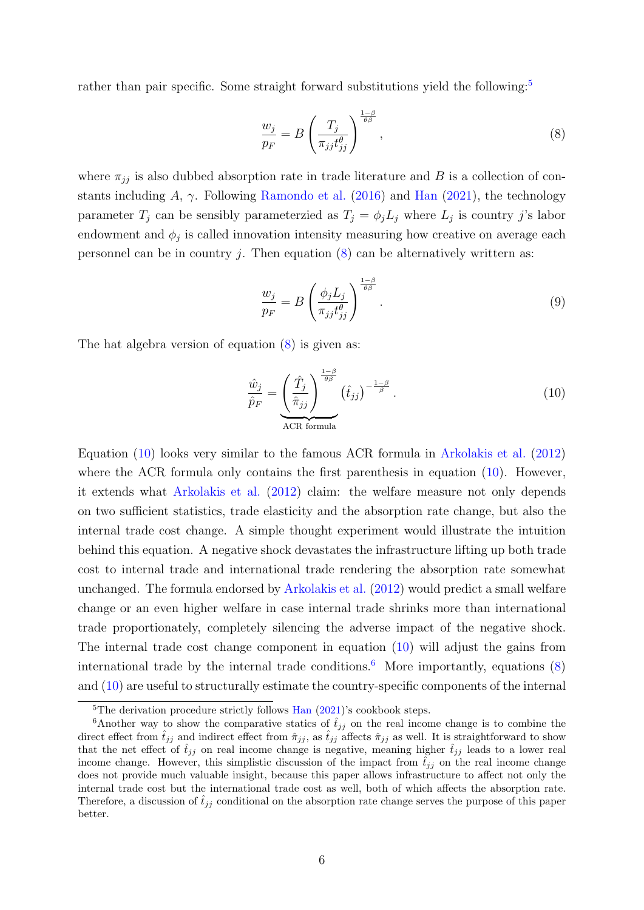rather than pair specific. Some straight forward substitutions yield the following:<sup>[5](#page-7-1)</sup>

<span id="page-7-0"></span>
$$
\frac{w_j}{p_F} = B \left( \frac{T_j}{\pi_{jj} t_{jj}^{\theta}} \right)^{\frac{1-\beta}{\theta \beta}}, \qquad (8)
$$

where  $\pi_{jj}$  is also dubbed absorption rate in trade literature and B is a collection of constants including A,  $\gamma$ . Following [Ramondo et al.](#page-39-0) [\(2016\)](#page-39-0) and [Han](#page-38-6) [\(2021\)](#page-38-6), the technology parameter  $T_j$  can be sensibly parameterzied as  $T_j = \phi_j L_j$  where  $L_j$  is country j's labor endowment and  $\phi_j$  is called innovation intensity measuring how creative on average each personnel can be in country j. Then equation  $(8)$  can be alternatively writtern as:

<span id="page-7-4"></span>
$$
\frac{w_j}{p_F} = B \left( \frac{\phi_j L_j}{\pi_{jj} t_{jj}^{\theta}} \right)^{\frac{1-\beta}{\theta \beta}}.
$$
\n(9)

The hat algebra version of equation [\(8\)](#page-7-0) is given as:

<span id="page-7-2"></span>
$$
\frac{\hat{w}_j}{\hat{p}_F} = \underbrace{\left(\frac{\hat{T}_j}{\hat{\pi}_{jj}}\right)^{\frac{1-\beta}{\theta\beta}}}_{\text{ACR formula}} \left(\hat{t}_{jj}\right)^{-\frac{1-\beta}{\beta}}.
$$
\n(10)

Equation [\(10\)](#page-7-2) looks very similar to the famous ACR formula in [Arkolakis et al.](#page-37-8) [\(2012\)](#page-37-8) where the ACR formula only contains the first parenthesis in equation  $(10)$ . However, it extends what [Arkolakis et al.](#page-37-8) [\(2012\)](#page-37-8) claim: the welfare measure not only depends on two sufficient statistics, trade elasticity and the absorption rate change, but also the internal trade cost change. A simple thought experiment would illustrate the intuition behind this equation. A negative shock devastates the infrastructure lifting up both trade cost to internal trade and international trade rendering the absorption rate somewhat unchanged. The formula endorsed by [Arkolakis et al.](#page-37-8) [\(2012\)](#page-37-8) would predict a small welfare change or an even higher welfare in case internal trade shrinks more than international trade proportionately, completely silencing the adverse impact of the negative shock. The internal trade cost change component in equation [\(10\)](#page-7-2) will adjust the gains from international trade by the internal trade conditions.<sup>[6](#page-7-3)</sup> More importantly, equations  $(8)$ and [\(10\)](#page-7-2) are useful to structurally estimate the country-specific components of the internal

<span id="page-7-3"></span><span id="page-7-1"></span> ${}^{5}$ The derivation procedure strictly follows [Han](#page-38-6) [\(2021\)](#page-38-6)'s cookbook steps.

<sup>&</sup>lt;sup>6</sup>Another way to show the comparative statics of  $\hat{t}_{jj}$  on the real income change is to combine the direct effect from  $\hat{t}_{jj}$  and indirect effect from  $\hat{\pi}_{jj}$ , as  $\hat{t}_{jj}$  affects  $\hat{\pi}_{jj}$  as well. It is straightforward to show that the net effect of  $\hat{t}_{jj}$  on real income change is negative, meaning higher  $\hat{t}_{jj}$  leads to a lower real income change. However, this simplistic discussion of the impact from  $\hat{t}_{ij}$  on the real income change does not provide much valuable insight, because this paper allows infrastructure to affect not only the internal trade cost but the international trade cost as well, both of which affects the absorption rate. Therefore, a discussion of  $\hat{t}_{ij}$  conditional on the absorption rate change serves the purpose of this paper better.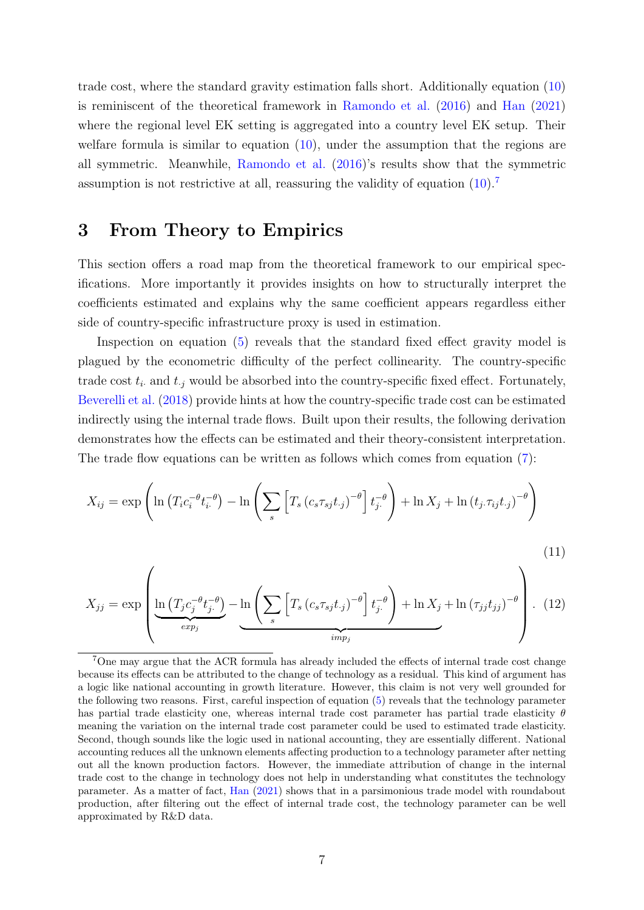trade cost, where the standard gravity estimation falls short. Additionally equation [\(10\)](#page-7-2) is reminiscent of the theoretical framework in [Ramondo et al.](#page-39-0) [\(2016\)](#page-39-0) and [Han](#page-38-6) [\(2021\)](#page-38-6) where the regional level EK setting is aggregated into a country level EK setup. Their welfare formula is similar to equation [\(10\)](#page-7-2), under the assumption that the regions are all symmetric. Meanwhile, [Ramondo et al.](#page-39-0) [\(2016\)](#page-39-0)'s results show that the symmetric assumption is not restrictive at all, reassuring the validity of equation [\(10\)](#page-7-2).[7](#page-8-1)

#### <span id="page-8-0"></span>3 From Theory to Empirics

This section offers a road map from the theoretical framework to our empirical specifications. More importantly it provides insights on how to structurally interpret the coefficients estimated and explains why the same coefficient appears regardless either side of country-specific infrastructure proxy is used in estimation.

Inspection on equation [\(5\)](#page-6-2) reveals that the standard fixed effect gravity model is plagued by the econometric difficulty of the perfect collinearity. The country-specific trade cost  $t_i$  and  $t_i$  would be absorbed into the country-specific fixed effect. Fortunately, [Beverelli et al.](#page-37-0) [\(2018\)](#page-37-0) provide hints at how the country-specific trade cost can be estimated indirectly using the internal trade flows. Built upon their results, the following derivation demonstrates how the effects can be estimated and their theory-consistent interpretation. The trade flow equations can be written as follows which comes from equation  $(7)$ :

$$
X_{ij} = \exp\left(\ln\left(T_i c_i^{-\theta} t_{i\cdot}^{-\theta}\right) - \ln\left(\sum_s \left[T_s \left(c_s \tau_{sj} t_{\cdot j}\right)^{-\theta}\right] t_{j\cdot}^{-\theta}\right) + \ln X_j + \ln\left(t_j \tau_{ij} t_{\cdot j}\right)^{-\theta}\right)
$$

<span id="page-8-3"></span><span id="page-8-2"></span>
$$
X_{jj} = \exp\left(\underbrace{\ln\left(T_j c_j^{-\theta} t_j^{-\theta}\right)}_{\text{exp}_j} - \underbrace{\ln\left(\sum_s \left[T_s \left(c_s \tau_{sj} t_j\right)^{-\theta}\right] t_j^{-\theta}\right)}_{\text{imp}_j} + \ln X_j + \ln\left(\tau_{jj} t_{jj}\right)^{-\theta}\right). \tag{11}
$$

<span id="page-8-1"></span><sup>7</sup>One may argue that the ACR formula has already included the effects of internal trade cost change because its effects can be attributed to the change of technology as a residual. This kind of argument has a logic like national accounting in growth literature. However, this claim is not very well grounded for the following two reasons. First, careful inspection of equation [\(5\)](#page-6-2) reveals that the technology parameter has partial trade elasticity one, whereas internal trade cost parameter has partial trade elasticity  $\theta$ meaning the variation on the internal trade cost parameter could be used to estimated trade elasticity. Second, though sounds like the logic used in national accounting, they are essentially different. National accounting reduces all the unknown elements affecting production to a technology parameter after netting out all the known production factors. However, the immediate attribution of change in the internal trade cost to the change in technology does not help in understanding what constitutes the technology parameter. As a matter of fact, [Han](#page-38-6) [\(2021\)](#page-38-6) shows that in a parsimonious trade model with roundabout production, after filtering out the effect of internal trade cost, the technology parameter can be well approximated by R&D data.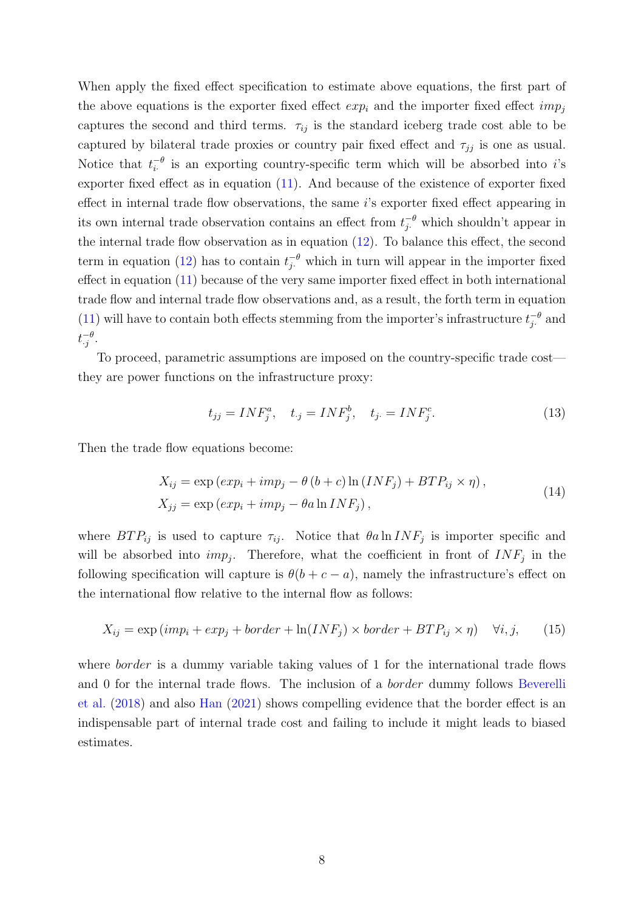When apply the fixed effect specification to estimate above equations, the first part of the above equations is the exporter fixed effect  $exp_i$  and the importer fixed effect  $imp_i$ captures the second and third terms.  $\tau_{ij}$  is the standard iceberg trade cost able to be captured by bilateral trade proxies or country pair fixed effect and  $\tau_{jj}$  is one as usual. Notice that  $t_i^{-\theta}$  $i$ <sup>- $\theta$ </sup> is an exporting country-specific term which will be absorbed into *i*'s exporter fixed effect as in equation [\(11\)](#page-8-2). And because of the existence of exporter fixed effect in internal trade flow observations, the same i's exporter fixed effect appearing in its own internal trade observation contains an effect from  $t_{j}^{-\theta}$  which shouldn't appear in the internal trade flow observation as in equation [\(12\)](#page-8-3). To balance this effect, the second term in equation [\(12\)](#page-8-3) has to contain  $t_{j}^{-\theta}$  which in turn will appear in the importer fixed effect in equation [\(11\)](#page-8-2) because of the very same importer fixed effect in both international trade flow and internal trade flow observations and, as a result, the forth term in equation [\(11\)](#page-8-2) will have to contain both effects stemming from the importer's infrastructure  $t_i^{-\theta}$  $\int_{j}^{-\theta}$  and  $t^{-\theta}_{\cdot i}$  $\frac{-\theta}{j}$ .

To proceed, parametric assumptions are imposed on the country-specific trade cost they are power functions on the infrastructure proxy:

$$
t_{jj} = INF_j^a, \quad t_{\cdot j} = INF_j^b, \quad t_{j\cdot} = INF_j^c. \tag{13}
$$

Then the trade flow equations become:

$$
X_{ij} = \exp\left(\exp_i + imp_j - \theta\left(b + c\right)\ln\left(INF_j\right) + BTP_{ij} \times \eta\right),
$$
  
\n
$$
X_{jj} = \exp\left(\exp_i + imp_j - \theta a \ln INF_j\right),
$$
\n(14)

where  $BTP_{ij}$  is used to capture  $\tau_{ij}$ . Notice that  $\theta a \ln INF_j$  is importer specific and will be absorbed into  $imp_j$ . Therefore, what the coefficient in front of  $INF_j$  in the following specification will capture is  $\theta(b+c-a)$ , namely the infrastructure's effect on the international flow relative to the internal flow as follows:

<span id="page-9-0"></span>
$$
X_{ij} = \exp(imp_i + exp_j + border + ln(INF_j) \times border + BTP_{ij} \times \eta) \quad \forall i, j, \qquad (15)
$$

where *border* is a dummy variable taking values of 1 for the international trade flows and 0 for the internal trade flows. The inclusion of a border dummy follows [Beverelli](#page-37-0) [et al.](#page-37-0) [\(2018\)](#page-37-0) and also [Han](#page-38-6) [\(2021\)](#page-38-6) shows compelling evidence that the border effect is an indispensable part of internal trade cost and failing to include it might leads to biased estimates.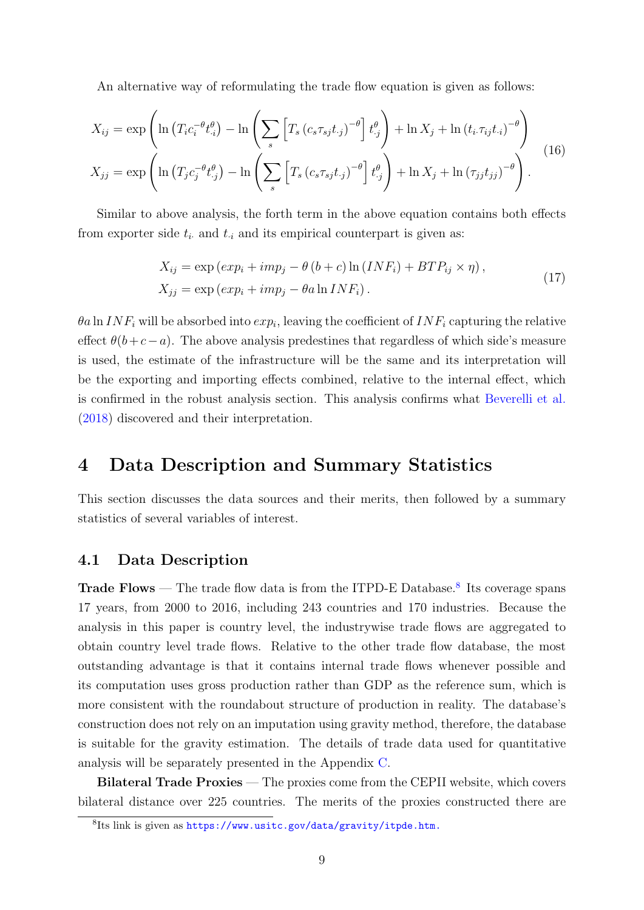An alternative way of reformulating the trade flow equation is given as follows:

$$
X_{ij} = \exp\left(\ln\left(T_i c_i^{-\theta} t_{.i}^{\theta}\right) - \ln\left(\sum_s \left[T_s \left(c_s \tau_{sj} t_{.j}\right)^{-\theta}\right] t_{.j}^{\theta}\right) + \ln X_j + \ln\left(t_i \tau_{ij} t_{.i}\right)^{-\theta}\right)
$$
  

$$
X_{jj} = \exp\left(\ln\left(T_j c_j^{-\theta} t_{.j}^{\theta}\right) - \ln\left(\sum_s \left[T_s \left(c_s \tau_{sj} t_{.j}\right)^{-\theta}\right] t_{.j}^{\theta}\right) + \ln X_j + \ln\left(\tau_{jj} t_{jj}\right)^{-\theta}\right).
$$
 (16)

Similar to above analysis, the forth term in the above equation contains both effects from exporter side  $t_i$  and  $t_i$  and its empirical counterpart is given as:

$$
X_{ij} = \exp\left(\exp_i + imp_j - \theta\left(b + c\right)\ln\left(INF_i\right) + BTP_{ij} \times \eta\right),
$$
  
\n
$$
X_{jj} = \exp\left(\exp_i + imp_j - \theta a \ln INF_i\right).
$$
\n(17)

 $\theta$ a ln IN $F_i$  will be absorbed into  $exp_i$ , leaving the coefficient of IN $F_i$  capturing the relative effect  $\theta(b+c-a)$ . The above analysis predestines that regardless of which side's measure is used, the estimate of the infrastructure will be the same and its interpretation will be the exporting and importing effects combined, relative to the internal effect, which is confirmed in the robust analysis section. This analysis confirms what [Beverelli et al.](#page-37-0) [\(2018\)](#page-37-0) discovered and their interpretation.

## <span id="page-10-0"></span>4 Data Description and Summary Statistics

This section discusses the data sources and their merits, then followed by a summary statistics of several variables of interest.

#### 4.1 Data Description

**Trade Flows** — The trade flow data is from the ITPD-E Database.<sup>[8](#page-10-1)</sup> Its coverage spans 17 years, from 2000 to 2016, including 243 countries and 170 industries. Because the analysis in this paper is country level, the industrywise trade flows are aggregated to obtain country level trade flows. Relative to the other trade flow database, the most outstanding advantage is that it contains internal trade flows whenever possible and its computation uses gross production rather than GDP as the reference sum, which is more consistent with the roundabout structure of production in reality. The database's construction does not rely on an imputation using gravity method, therefore, the database is suitable for the gravity estimation. The details of trade data used for quantitative analysis will be separately presented in the Appendix [C.](#page-41-0)

Bilateral Trade Proxies — The proxies come from the CEPII website, which covers bilateral distance over 225 countries. The merits of the proxies constructed there are

<span id="page-10-1"></span><sup>8</sup> Its link is given as <https://www.usitc.gov/data/gravity/itpde.htm.>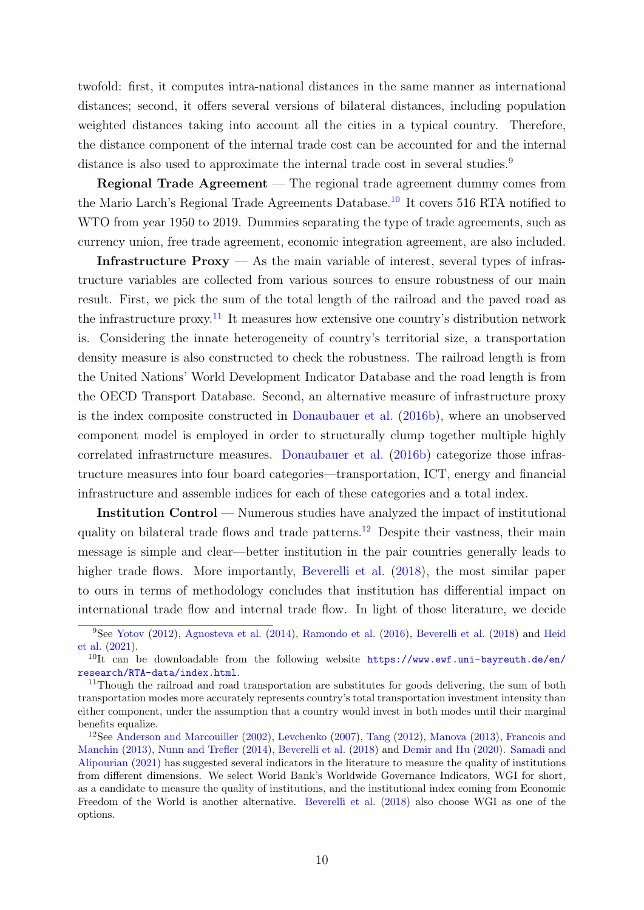twofold: first, it computes intra-national distances in the same manner as international distances; second, it offers several versions of bilateral distances, including population weighted distances taking into account all the cities in a typical country. Therefore, the distance component of the internal trade cost can be accounted for and the internal distance is also used to approximate the internal trade cost in several studies.<sup>[9](#page-11-0)</sup>

Regional Trade Agreement — The regional trade agreement dummy comes from the Mario Larch's Regional Trade Agreements Database.<sup>[10](#page-11-1)</sup> It covers 516 RTA notified to WTO from year 1950 to 2019. Dummies separating the type of trade agreements, such as currency union, free trade agreement, economic integration agreement, are also included.

Infrastructure  $Proxy - As$  the main variable of interest, several types of infrastructure variables are collected from various sources to ensure robustness of our main result. First, we pick the sum of the total length of the railroad and the paved road as the infrastructure proxy.<sup>[11](#page-11-2)</sup> It measures how extensive one country's distribution network is. Considering the innate heterogeneity of country's territorial size, a transportation density measure is also constructed to check the robustness. The railroad length is from the United Nations' World Development Indicator Database and the road length is from the OECD Transport Database. Second, an alternative measure of infrastructure proxy is the index composite constructed in [Donaubauer et al.](#page-38-2) [\(2016b\)](#page-38-2), where an unobserved component model is employed in order to structurally clump together multiple highly correlated infrastructure measures. [Donaubauer et al.](#page-38-2) [\(2016b\)](#page-38-2) categorize those infrastructure measures into four board categories—transportation, ICT, energy and financial infrastructure and assemble indices for each of these categories and a total index.

Institution Control — Numerous studies have analyzed the impact of institutional quality on bilateral trade flows and trade patterns.<sup>[12](#page-11-3)</sup> Despite their vastness, their main message is simple and clear—better institution in the pair countries generally leads to higher trade flows. More importantly, [Beverelli et al.](#page-37-0)  $(2018)$ , the most similar paper to ours in terms of methodology concludes that institution has differential impact on international trade flow and internal trade flow. In light of those literature, we decide

<span id="page-11-0"></span><sup>9</sup>See [Yotov](#page-39-4) [\(2012\)](#page-39-4), [Agnosteva et al.](#page-37-9) [\(2014\)](#page-37-9), [Ramondo et al.](#page-39-0) [\(2016\)](#page-39-0), [Beverelli et al.](#page-37-0) [\(2018\)](#page-37-0) and [Heid](#page-38-8) [et al.](#page-38-8) [\(2021\)](#page-38-8).

<span id="page-11-1"></span><sup>&</sup>lt;sup>10</sup>It can be downloadable from the following website [https://www.ewf.uni-bayreuth.de/en/](https://www.ewf.uni-bayreuth.de/en/research/RTA-data/index.html) [research/RTA-data/index.html](https://www.ewf.uni-bayreuth.de/en/research/RTA-data/index.html).

<span id="page-11-2"></span><sup>&</sup>lt;sup>11</sup>Though the railroad and road transportation are substitutes for goods delivering, the sum of both transportation modes more accurately represents country's total transportation investment intensity than either component, under the assumption that a country would invest in both modes until their marginal benefits equalize.

<span id="page-11-3"></span><sup>12</sup>See [Anderson and Marcouiller](#page-37-10) [\(2002\)](#page-37-10), [Levchenko](#page-38-9) [\(2007\)](#page-38-9), [Tang](#page-39-5) [\(2012\)](#page-39-5), [Manova](#page-38-10) [\(2013\)](#page-38-10), [Francois and](#page-38-11) [Manchin](#page-38-11) [\(2013\)](#page-38-11), [Nunn and Trefler](#page-39-6) [\(2014\)](#page-39-6), [Beverelli et al.](#page-37-0) [\(2018\)](#page-37-0) and [Demir and Hu](#page-37-11) [\(2020\)](#page-37-11). [Samadi and](#page-39-7) [Alipourian](#page-39-7) [\(2021\)](#page-39-7) has suggested several indicators in the literature to measure the quality of institutions from different dimensions. We select World Bank's Worldwide Governance Indicators, WGI for short, as a candidate to measure the quality of institutions, and the institutional index coming from Economic Freedom of the World is another alternative. [Beverelli et al.](#page-37-0) [\(2018\)](#page-37-0) also choose WGI as one of the options.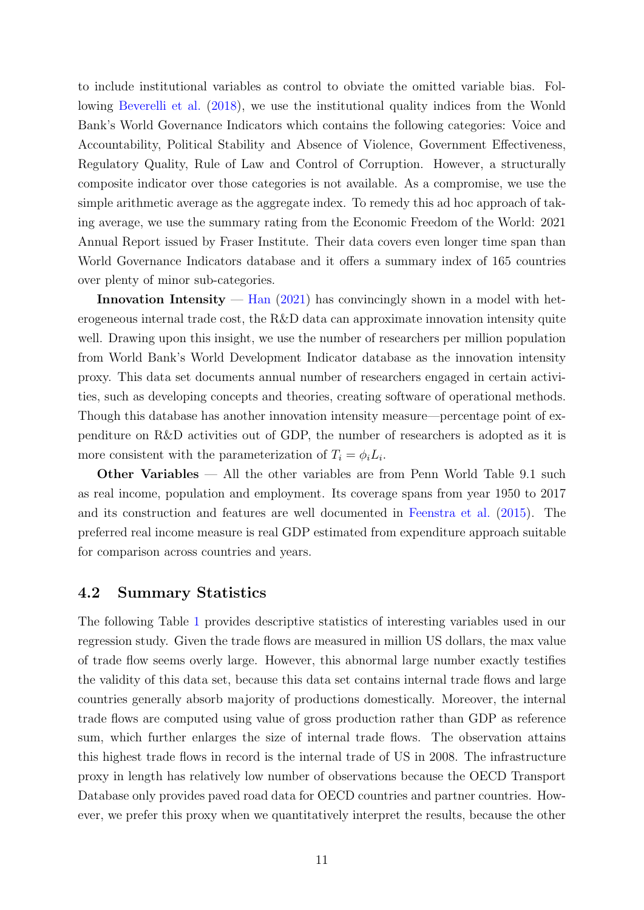to include institutional variables as control to obviate the omitted variable bias. Following [Beverelli et al.](#page-37-0) [\(2018\)](#page-37-0), we use the institutional quality indices from the Wonld Bank's World Governance Indicators which contains the following categories: Voice and Accountability, Political Stability and Absence of Violence, Government Effectiveness, Regulatory Quality, Rule of Law and Control of Corruption. However, a structurally composite indicator over those categories is not available. As a compromise, we use the simple arithmetic average as the aggregate index. To remedy this ad hoc approach of taking average, we use the summary rating from the Economic Freedom of the World: 2021 Annual Report issued by Fraser Institute. Their data covers even longer time span than World Governance Indicators database and it offers a summary index of 165 countries over plenty of minor sub-categories.

Innovation Intensity  $-$  [Han](#page-38-6) [\(2021\)](#page-38-6) has convincingly shown in a model with heterogeneous internal trade cost, the R&D data can approximate innovation intensity quite well. Drawing upon this insight, we use the number of researchers per million population from World Bank's World Development Indicator database as the innovation intensity proxy. This data set documents annual number of researchers engaged in certain activities, such as developing concepts and theories, creating software of operational methods. Though this database has another innovation intensity measure—percentage point of expenditure on R&D activities out of GDP, the number of researchers is adopted as it is more consistent with the parameterization of  $T_i = \phi_i L_i$ .

Other Variables — All the other variables are from Penn World Table 9.1 such as real income, population and employment. Its coverage spans from year 1950 to 2017 and its construction and features are well documented in [Feenstra et al.](#page-38-12) [\(2015\)](#page-38-12). The preferred real income measure is real GDP estimated from expenditure approach suitable for comparison across countries and years.

#### 4.2 Summary Statistics

The following Table [1](#page-13-1) provides descriptive statistics of interesting variables used in our regression study. Given the trade flows are measured in million US dollars, the max value of trade flow seems overly large. However, this abnormal large number exactly testifies the validity of this data set, because this data set contains internal trade flows and large countries generally absorb majority of productions domestically. Moreover, the internal trade flows are computed using value of gross production rather than GDP as reference sum, which further enlarges the size of internal trade flows. The observation attains this highest trade flows in record is the internal trade of US in 2008. The infrastructure proxy in length has relatively low number of observations because the OECD Transport Database only provides paved road data for OECD countries and partner countries. However, we prefer this proxy when we quantitatively interpret the results, because the other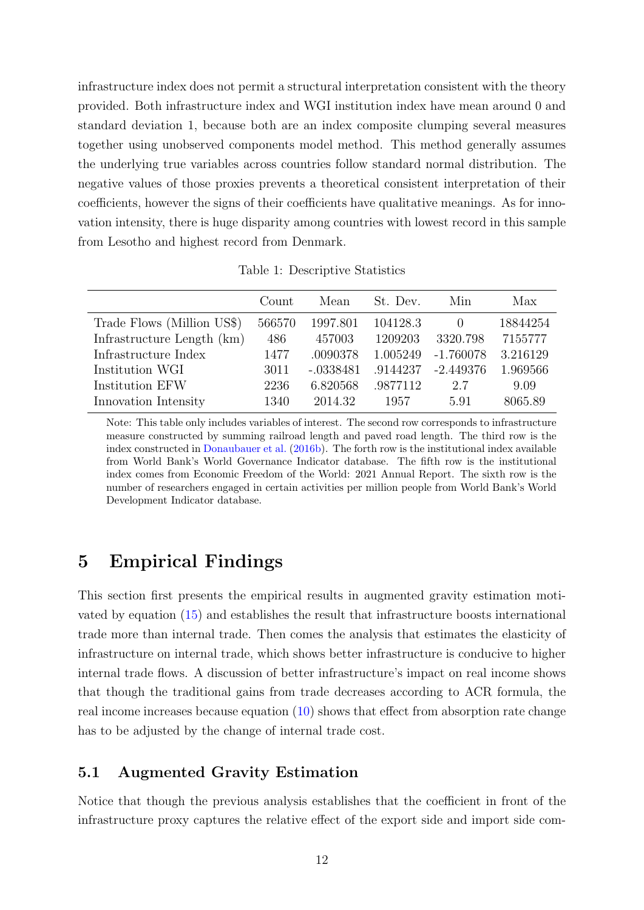infrastructure index does not permit a structural interpretation consistent with the theory provided. Both infrastructure index and WGI institution index have mean around 0 and standard deviation 1, because both are an index composite clumping several measures together using unobserved components model method. This method generally assumes the underlying true variables across countries follow standard normal distribution. The negative values of those proxies prevents a theoretical consistent interpretation of their coefficients, however the signs of their coefficients have qualitative meanings. As for innovation intensity, there is huge disparity among countries with lowest record in this sample from Lesotho and highest record from Denmark.

<span id="page-13-1"></span>Table 1: Descriptive Statistics

|                            | Count  | Mean        | St. Dev. | Min              | Max      |
|----------------------------|--------|-------------|----------|------------------|----------|
| Trade Flows (Million US\$) | 566570 | 1997.801    | 104128.3 | $\left( \right)$ | 18844254 |
| Infrastructure Length (km) | 486    | 457003      | 1209203  | 3320.798         | 7155777  |
| Infrastructure Index       | 1477   | .0090378    | 1.005249 | $-1.760078$      | 3.216129 |
| Institution WGI            | 3011   | $-.0338481$ | .9144237 | $-2.449376$      | 1.969566 |
| Institution EFW            | 2236   | 6.820568    | .9877112 | 2.7              | 9.09     |
| Innovation Intensity       | 1340   | 2014.32     | 1957     | 5.91             | 8065.89  |

Note: This table only includes variables of interest. The second row corresponds to infrastructure measure constructed by summing railroad length and paved road length. The third row is the index constructed in [Donaubauer et al.](#page-38-2) [\(2016b\)](#page-38-2). The forth row is the institutional index available from World Bank's World Governance Indicator database. The fifth row is the institutional index comes from Economic Freedom of the World: 2021 Annual Report. The sixth row is the number of researchers engaged in certain activities per million people from World Bank's World Development Indicator database.

## <span id="page-13-0"></span>5 Empirical Findings

This section first presents the empirical results in augmented gravity estimation motivated by equation [\(15\)](#page-9-0) and establishes the result that infrastructure boosts international trade more than internal trade. Then comes the analysis that estimates the elasticity of infrastructure on internal trade, which shows better infrastructure is conducive to higher internal trade flows. A discussion of better infrastructure's impact on real income shows that though the traditional gains from trade decreases according to ACR formula, the real income increases because equation [\(10\)](#page-7-2) shows that effect from absorption rate change has to be adjusted by the change of internal trade cost.

#### 5.1 Augmented Gravity Estimation

Notice that though the previous analysis establishes that the coefficient in front of the infrastructure proxy captures the relative effect of the export side and import side com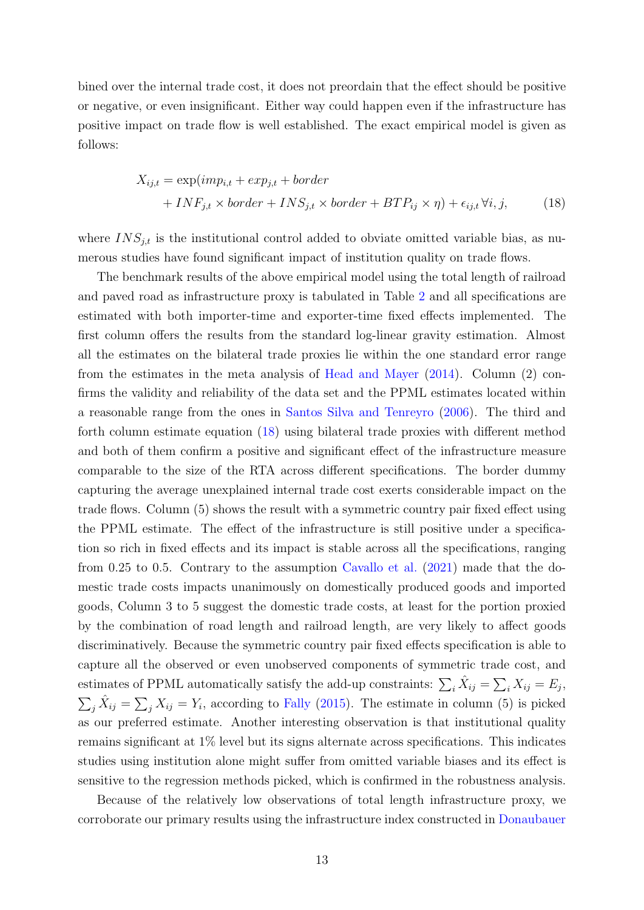bined over the internal trade cost, it does not preordain that the effect should be positive or negative, or even insignificant. Either way could happen even if the infrastructure has positive impact on trade flow is well established. The exact empirical model is given as follows:

<span id="page-14-0"></span>
$$
X_{ij,t} = \exp(imp_{i,t} + exp_{j,t} + border
$$
  
+  $INF_{j,t} \times border + INS_{j,t} \times border + BTP_{ij} \times \eta) + \epsilon_{ij,t} \forall i, j,$  (18)

where  $INS_{j,t}$  is the institutional control added to obviate omitted variable bias, as numerous studies have found significant impact of institution quality on trade flows.

The benchmark results of the above empirical model using the total length of railroad and paved road as infrastructure proxy is tabulated in Table [2](#page-15-0) and all specifications are estimated with both importer-time and exporter-time fixed effects implemented. The first column offers the results from the standard log-linear gravity estimation. Almost all the estimates on the bilateral trade proxies lie within the one standard error range from the estimates in the meta analysis of [Head and Mayer](#page-38-13) [\(2014\)](#page-38-13). Column (2) confirms the validity and reliability of the data set and the PPML estimates located within a reasonable range from the ones in [Santos Silva and Tenreyro](#page-39-8) [\(2006\)](#page-39-8). The third and forth column estimate equation [\(18\)](#page-14-0) using bilateral trade proxies with different method and both of them confirm a positive and significant effect of the infrastructure measure comparable to the size of the RTA across different specifications. The border dummy capturing the average unexplained internal trade cost exerts considerable impact on the trade flows. Column (5) shows the result with a symmetric country pair fixed effect using the PPML estimate. The effect of the infrastructure is still positive under a specification so rich in fixed effects and its impact is stable across all the specifications, ranging from 0.25 to 0.5. Contrary to the assumption [Cavallo et al.](#page-37-4) [\(2021\)](#page-37-4) made that the domestic trade costs impacts unanimously on domestically produced goods and imported goods, Column 3 to 5 suggest the domestic trade costs, at least for the portion proxied by the combination of road length and railroad length, are very likely to affect goods discriminatively. Because the symmetric country pair fixed effects specification is able to capture all the observed or even unobserved components of symmetric trade cost, and estimates of PPML automatically satisfy the add-up constraints:  $\sum_i \hat{X}_{ij} = \sum_i X_{ij} = E_j$ ,  $\sum_j \hat{X}_{ij} = \sum_j X_{ij} = Y_i$ , according to [Fally](#page-38-14) [\(2015\)](#page-38-14). The estimate in column (5) is picked as our preferred estimate. Another interesting observation is that institutional quality remains significant at 1% level but its signs alternate across specifications. This indicates studies using institution alone might suffer from omitted variable biases and its effect is sensitive to the regression methods picked, which is confirmed in the robustness analysis.

Because of the relatively low observations of total length infrastructure proxy, we corroborate our primary results using the infrastructure index constructed in [Donaubauer](#page-38-2)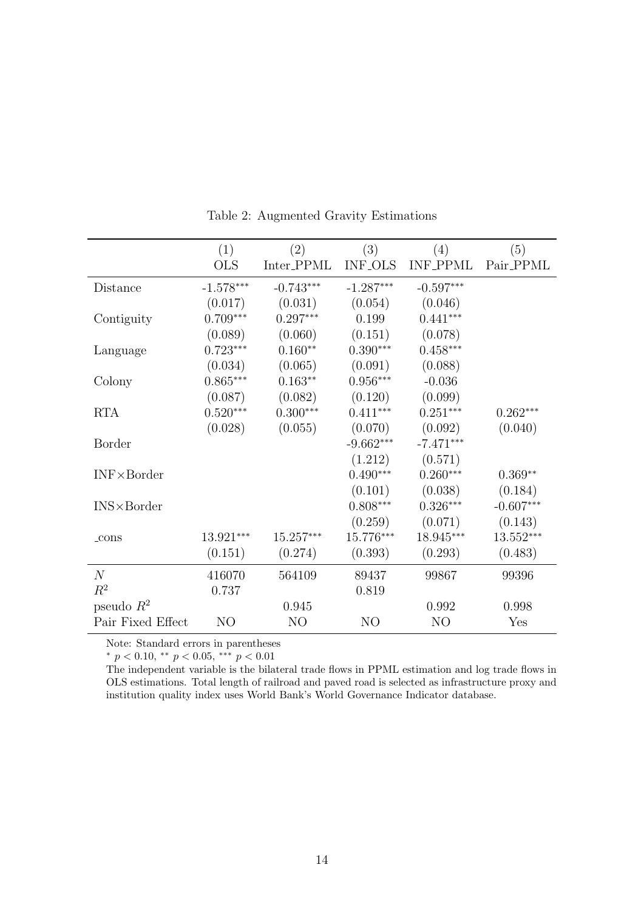|                     | (1)            | (2)            | (3)            | (4)             | (5)         |
|---------------------|----------------|----------------|----------------|-----------------|-------------|
|                     | <b>OLS</b>     | Inter_PPML     | <b>INF_OLS</b> | <b>INF_PPML</b> | Pair_PPML   |
| Distance            | $-1.578***$    | $-0.743***$    | $-1.287***$    | $-0.597***$     |             |
|                     | (0.017)        | (0.031)        | (0.054)        | (0.046)         |             |
| Contiguity          | $0.709***$     | $0.297***$     | 0.199          | $0.441***$      |             |
|                     | (0.089)        | (0.060)        | (0.151)        | (0.078)         |             |
| Language            | $0.723***$     | $0.160**$      | $0.390***$     | $0.458***$      |             |
|                     | (0.034)        | (0.065)        | (0.091)        | (0.088)         |             |
| Colony              | $0.865***$     | $0.163**$      | $0.956***$     | $-0.036$        |             |
|                     | (0.087)        | (0.082)        | (0.120)        | (0.099)         |             |
| <b>RTA</b>          | $0.520***$     | $0.300***$     | $0.411***$     | $0.251***$      | $0.262***$  |
|                     | (0.028)        | (0.055)        | (0.070)        | (0.092)         | (0.040)     |
| Border              |                |                | $-9.662***$    | $-7.471***$     |             |
|                     |                |                | (1.212)        | (0.571)         |             |
| $INF \times Border$ |                |                | $0.490***$     | $0.260***$      | $0.369**$   |
|                     |                |                | (0.101)        | (0.038)         | (0.184)     |
| $INS \times Border$ |                |                | $0.808***$     | $0.326***$      | $-0.607***$ |
|                     |                |                | (0.259)        | (0.071)         | (0.143)     |
| $_{\rm \perp}$ cons | 13.921***      | $15.257***$    | 15.776***      | 18.945***       | $13.552***$ |
|                     | (0.151)        | (0.274)        | (0.393)        | (0.293)         | (0.483)     |
| N                   | 416070         | 564109         | 89437          | 99867           | 99396       |
| $R^2$               | 0.737          |                | 0.819          |                 |             |
| pseudo $R^2$        |                | 0.945          |                | 0.992           | 0.998       |
| Pair Fixed Effect   | N <sub>O</sub> | N <sub>O</sub> | NO             | N <sub>O</sub>  | Yes         |

<span id="page-15-0"></span>Table 2: Augmented Gravity Estimations

Note: Standard errors in parentheses

\*  $p < 0.10$ , \*\*  $p < 0.05$ , \*\*\*  $p < 0.01$ 

The independent variable is the bilateral trade flows in PPML estimation and log trade flows in OLS estimations. Total length of railroad and paved road is selected as infrastructure proxy and institution quality index uses World Bank's World Governance Indicator database.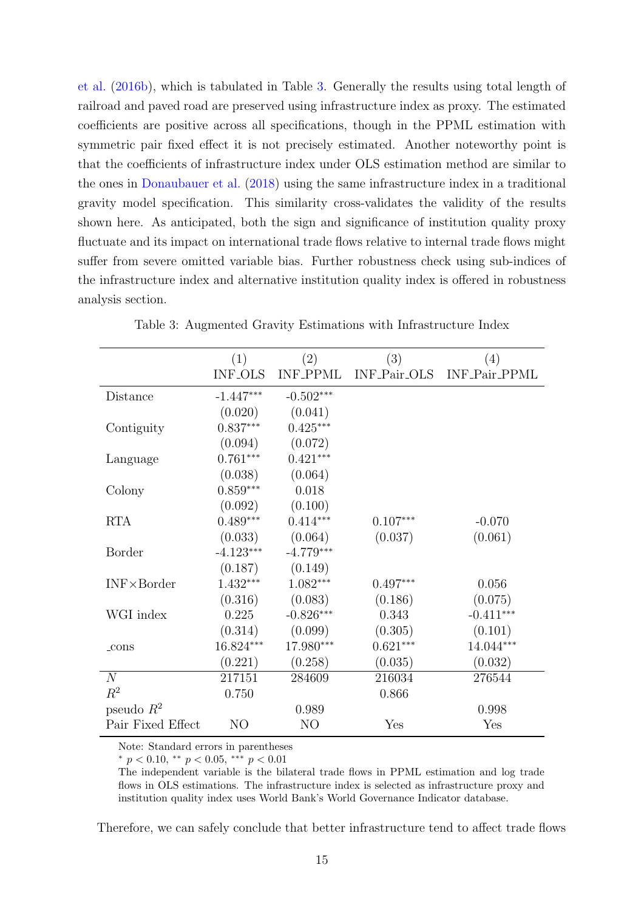[et al.](#page-38-2) [\(2016b\)](#page-38-2), which is tabulated in Table [3.](#page-16-0) Generally the results using total length of railroad and paved road are preserved using infrastructure index as proxy. The estimated coefficients are positive across all specifications, though in the PPML estimation with symmetric pair fixed effect it is not precisely estimated. Another noteworthy point is that the coefficients of infrastructure index under OLS estimation method are similar to the ones in [Donaubauer et al.](#page-37-6) [\(2018\)](#page-37-6) using the same infrastructure index in a traditional gravity model specification. This similarity cross-validates the validity of the results shown here. As anticipated, both the sign and significance of institution quality proxy fluctuate and its impact on international trade flows relative to internal trade flows might suffer from severe omitted variable bias. Further robustness check using sub-indices of the infrastructure index and alternative institution quality index is offered in robustness analysis section.

|                     | (1)            | (2)             | (3)          | (4)           |
|---------------------|----------------|-----------------|--------------|---------------|
|                     | <b>INF_OLS</b> | <b>INF_PPML</b> | INF_Pair_OLS | INF_Pair_PPML |
| Distance            | $-1.447***$    | $-0.502***$     |              |               |
|                     | (0.020)        | (0.041)         |              |               |
| Contiguity          | $0.837***$     | $0.425***$      |              |               |
|                     | (0.094)        | (0.072)         |              |               |
| Language            | $0.761***$     | $0.421***$      |              |               |
|                     | (0.038)        | (0.064)         |              |               |
| Colony              | $0.859***$     | 0.018           |              |               |
|                     | (0.092)        | (0.100)         |              |               |
| <b>RTA</b>          | $0.489***$     | $0.414***$      | $0.107***$   | $-0.070$      |
|                     | (0.033)        | (0.064)         | (0.037)      | (0.061)       |
| <b>Border</b>       | $-4.123***$    | $-4.779***$     |              |               |
|                     | (0.187)        | (0.149)         |              |               |
| $INF \times Border$ | $1.432***$     | $1.082***$      | $0.497***$   | 0.056         |
|                     | (0.316)        | (0.083)         | (0.186)      | (0.075)       |
| WGI index           | 0.225          | $-0.826***$     | 0.343        | $-0.411***$   |
|                     | (0.314)        | (0.099)         | (0.305)      | (0.101)       |
| $_{\rm cons}$       | 16.824***      | 17.980***       | $0.621***$   | 14.044***     |
|                     | (0.221)        | (0.258)         | (0.035)      | (0.032)       |
| N                   | 217151         | 284609          | 216034       | 276544        |
| $R^2$               | 0.750          |                 | 0.866        |               |
| pseudo $R^2$        |                | 0.989           |              | 0.998         |
| Pair Fixed Effect   | NO             | NO              | Yes          | Yes           |

<span id="page-16-0"></span>Table 3: Augmented Gravity Estimations with Infrastructure Index

Note: Standard errors in parentheses

 $*$  p < 0.10,  $*$  p < 0.05,  $**$  p < 0.01

The independent variable is the bilateral trade flows in PPML estimation and log trade flows in OLS estimations. The infrastructure index is selected as infrastructure proxy and institution quality index uses World Bank's World Governance Indicator database.

Therefore, we can safely conclude that better infrastructure tend to affect trade flows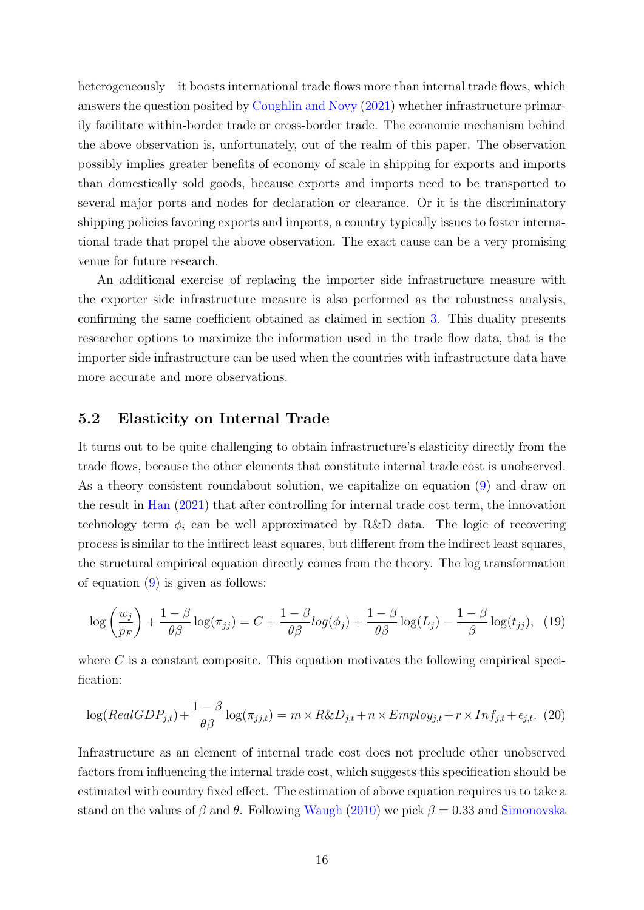heterogeneously—it boosts international trade flows more than internal trade flows, which answers the question posited by [Coughlin and Novy](#page-37-12) [\(2021\)](#page-37-12) whether infrastructure primarily facilitate within-border trade or cross-border trade. The economic mechanism behind the above observation is, unfortunately, out of the realm of this paper. The observation possibly implies greater benefits of economy of scale in shipping for exports and imports than domestically sold goods, because exports and imports need to be transported to several major ports and nodes for declaration or clearance. Or it is the discriminatory shipping policies favoring exports and imports, a country typically issues to foster international trade that propel the above observation. The exact cause can be a very promising venue for future research.

An additional exercise of replacing the importer side infrastructure measure with the exporter side infrastructure measure is also performed as the robustness analysis, confirming the same coefficient obtained as claimed in section [3.](#page-8-0) This duality presents researcher options to maximize the information used in the trade flow data, that is the importer side infrastructure can be used when the countries with infrastructure data have more accurate and more observations.

#### 5.2 Elasticity on Internal Trade

It turns out to be quite challenging to obtain infrastructure's elasticity directly from the trade flows, because the other elements that constitute internal trade cost is unobserved. As a theory consistent roundabout solution, we capitalize on equation [\(9\)](#page-7-4) and draw on the result in [Han](#page-38-6) [\(2021\)](#page-38-6) that after controlling for internal trade cost term, the innovation technology term  $\phi_i$  can be well approximated by R&D data. The logic of recovering process is similar to the indirect least squares, but different from the indirect least squares, the structural empirical equation directly comes from the theory. The log transformation of equation [\(9\)](#page-7-4) is given as follows:

<span id="page-17-0"></span>
$$
\log\left(\frac{w_j}{p_F}\right) + \frac{1-\beta}{\theta\beta}\log(\pi_{jj}) = C + \frac{1-\beta}{\theta\beta}\log(\phi_j) + \frac{1-\beta}{\theta\beta}\log(L_j) - \frac{1-\beta}{\beta}\log(t_{jj}), \tag{19}
$$

where  $C$  is a constant composite. This equation motivates the following empirical specification:

$$
\log(RealGDP_{j,t}) + \frac{1-\beta}{\theta\beta}\log(\pi_{j,j,t}) = m \times R\&D_{j,t} + n \times Employ_{j,t} + r \times Inf_{j,t} + \epsilon_{j,t}.
$$
 (20)

Infrastructure as an element of internal trade cost does not preclude other unobserved factors from influencing the internal trade cost, which suggests this specification should be estimated with country fixed effect. The estimation of above equation requires us to take a stand on the values of  $\beta$  and  $\theta$ . Following [Waugh](#page-39-9) [\(2010\)](#page-39-9) we pick  $\beta = 0.33$  and [Simonovska](#page-39-10)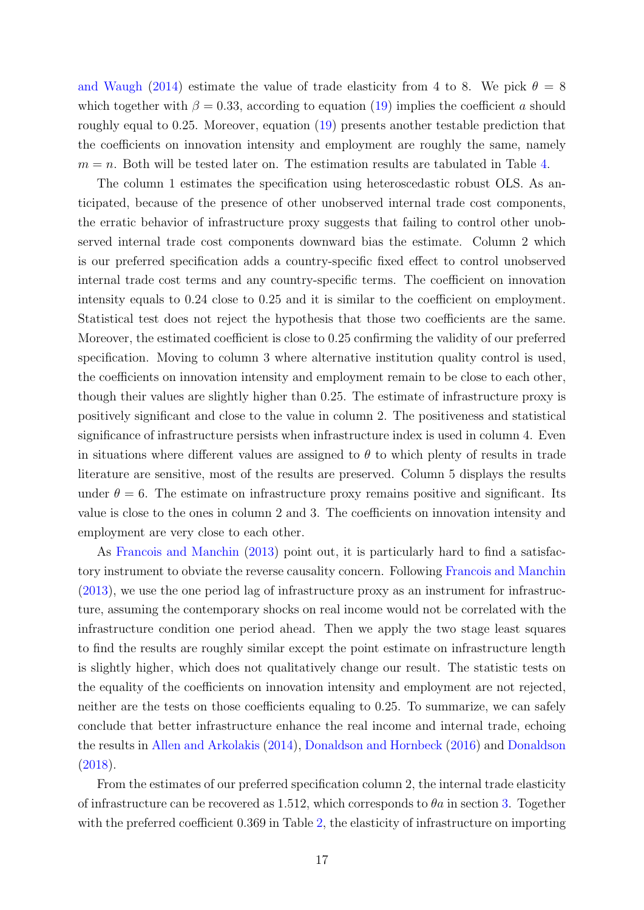[and Waugh](#page-39-10) [\(2014\)](#page-39-10) estimate the value of trade elasticity from 4 to 8. We pick  $\theta = 8$ which together with  $\beta = 0.33$ , according to equation [\(19\)](#page-17-0) implies the coefficient a should roughly equal to 0.25. Moreover, equation [\(19\)](#page-17-0) presents another testable prediction that the coefficients on innovation intensity and employment are roughly the same, namely  $m = n$ . Both will be tested later on. The estimation results are tabulated in Table [4.](#page-19-0)

The column 1 estimates the specification using heteroscedastic robust OLS. As anticipated, because of the presence of other unobserved internal trade cost components, the erratic behavior of infrastructure proxy suggests that failing to control other unobserved internal trade cost components downward bias the estimate. Column 2 which is our preferred specification adds a country-specific fixed effect to control unobserved internal trade cost terms and any country-specific terms. The coefficient on innovation intensity equals to 0.24 close to 0.25 and it is similar to the coefficient on employment. Statistical test does not reject the hypothesis that those two coefficients are the same. Moreover, the estimated coefficient is close to 0.25 confirming the validity of our preferred specification. Moving to column 3 where alternative institution quality control is used, the coefficients on innovation intensity and employment remain to be close to each other, though their values are slightly higher than 0.25. The estimate of infrastructure proxy is positively significant and close to the value in column 2. The positiveness and statistical significance of infrastructure persists when infrastructure index is used in column 4. Even in situations where different values are assigned to  $\theta$  to which plenty of results in trade literature are sensitive, most of the results are preserved. Column 5 displays the results under  $\theta = 6$ . The estimate on infrastructure proxy remains positive and significant. Its value is close to the ones in column 2 and 3. The coefficients on innovation intensity and employment are very close to each other.

As [Francois and Manchin](#page-38-11) [\(2013\)](#page-38-11) point out, it is particularly hard to find a satisfactory instrument to obviate the reverse causality concern. Following [Francois and Manchin](#page-38-11) [\(2013\)](#page-38-11), we use the one period lag of infrastructure proxy as an instrument for infrastructure, assuming the contemporary shocks on real income would not be correlated with the infrastructure condition one period ahead. Then we apply the two stage least squares to find the results are roughly similar except the point estimate on infrastructure length is slightly higher, which does not qualitatively change our result. The statistic tests on the equality of the coefficients on innovation intensity and employment are not rejected, neither are the tests on those coefficients equaling to 0.25. To summarize, we can safely conclude that better infrastructure enhance the real income and internal trade, echoing the results in [Allen and Arkolakis](#page-37-13) [\(2014\)](#page-37-13), [Donaldson and Hornbeck](#page-37-2) [\(2016\)](#page-37-2) and [Donaldson](#page-37-3) [\(2018\)](#page-37-3).

From the estimates of our preferred specification column 2, the internal trade elasticity of infrastructure can be recovered as 1.512, which corresponds to  $\theta a$  in section [3.](#page-8-0) Together with the preferred coefficient 0.369 in Table [2,](#page-15-0) the elasticity of infrastructure on importing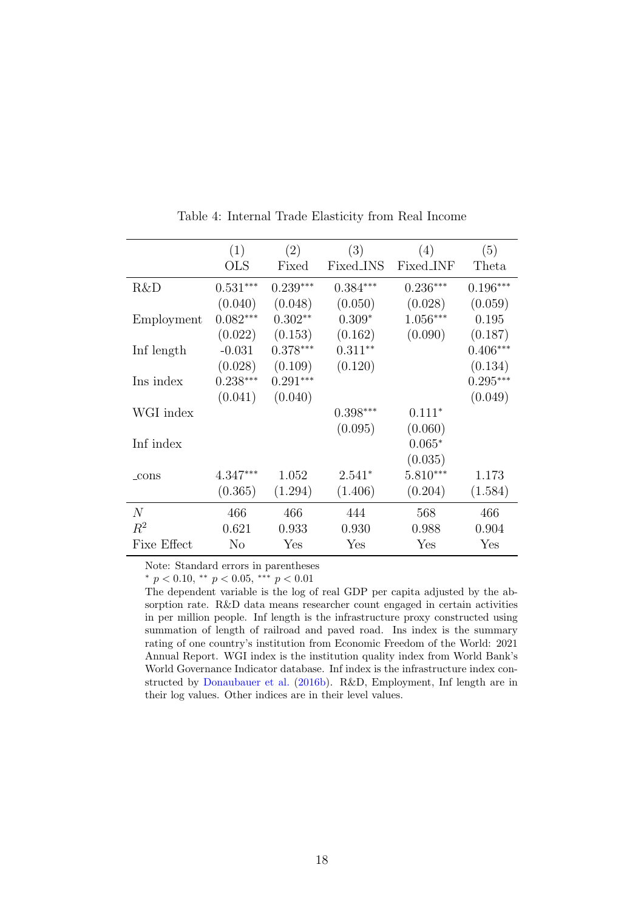|                | (1)          | (2)        | (3)        | (4)              | (5)        |
|----------------|--------------|------------|------------|------------------|------------|
|                | $_{\rm OLS}$ | Fixed      | Fixed_INS  | <b>Fixed_INF</b> | Theta      |
| R&D            | $0.531***$   | $0.239***$ | $0.384***$ | $0.236***$       | $0.196***$ |
|                | (0.040)      | (0.048)    | (0.050)    | (0.028)          | (0.059)    |
| Employment     | $0.082***$   | $0.302**$  | $0.309*$   | $1.056***$       | 0.195      |
|                | (0.022)      | (0.153)    | (0.162)    | (0.090)          | (0.187)    |
| Inf length     | $-0.031$     | $0.378***$ | $0.311**$  |                  | $0.406***$ |
|                | (0.028)      | (0.109)    | (0.120)    |                  | (0.134)    |
| Ins index      | $0.238***$   | $0.291***$ |            |                  | $0.295***$ |
|                | (0.041)      | (0.040)    |            |                  | (0.049)    |
| WGI index      |              |            | $0.398***$ | $0.111*$         |            |
|                |              |            | (0.095)    | (0.060)          |            |
| Inf index      |              |            |            | $0.065*$         |            |
|                |              |            |            | (0.035)          |            |
| $_{\rm-cons}$  | $4.347***$   | 1.052      | $2.541*$   | $5.810***$       | 1.173      |
|                | (0.365)      | (1.294)    | (1.406)    | (0.204)          | (1.584)    |
| $\overline{N}$ | 466          | 466        | 444        | 568              | 466        |
| $R^2$          | 0.621        | 0.933      | 0.930      | 0.988            | 0.904      |
| Fixe Effect    | $\rm No$     | Yes        | Yes        | Yes              | Yes        |

<span id="page-19-0"></span>Table 4: Internal Trade Elasticity from Real Income

Note: Standard errors in parentheses

 $*$  p < 0.10,  $*$  p < 0.05,  $*$   $*$  p < 0.01

The dependent variable is the log of real GDP per capita adjusted by the absorption rate. R&D data means researcher count engaged in certain activities in per million people. Inf length is the infrastructure proxy constructed using summation of length of railroad and paved road. Ins index is the summary rating of one country's institution from Economic Freedom of the World: 2021 Annual Report. WGI index is the institution quality index from World Bank's World Governance Indicator database. Inf index is the infrastructure index constructed by [Donaubauer et al.](#page-38-2) [\(2016b\)](#page-38-2). R&D, Employment, Inf length are in their log values. Other indices are in their level values.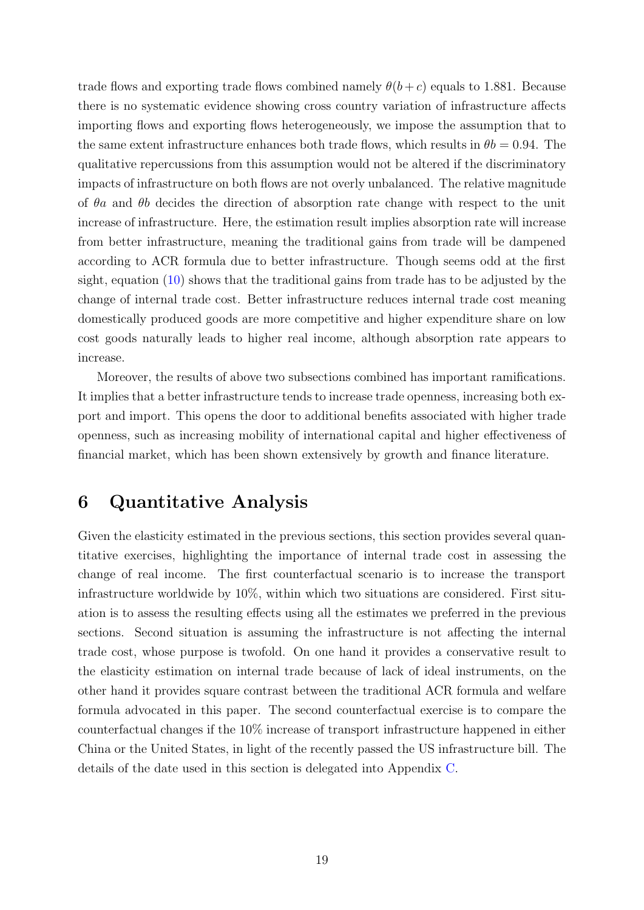trade flows and exporting trade flows combined namely  $\theta(b+c)$  equals to 1.881. Because there is no systematic evidence showing cross country variation of infrastructure affects importing flows and exporting flows heterogeneously, we impose the assumption that to the same extent infrastructure enhances both trade flows, which results in  $\theta b = 0.94$ . The qualitative repercussions from this assumption would not be altered if the discriminatory impacts of infrastructure on both flows are not overly unbalanced. The relative magnitude of  $\theta$ a and  $\theta$ b decides the direction of absorption rate change with respect to the unit increase of infrastructure. Here, the estimation result implies absorption rate will increase from better infrastructure, meaning the traditional gains from trade will be dampened according to ACR formula due to better infrastructure. Though seems odd at the first sight, equation [\(10\)](#page-7-2) shows that the traditional gains from trade has to be adjusted by the change of internal trade cost. Better infrastructure reduces internal trade cost meaning domestically produced goods are more competitive and higher expenditure share on low cost goods naturally leads to higher real income, although absorption rate appears to increase.

Moreover, the results of above two subsections combined has important ramifications. It implies that a better infrastructure tends to increase trade openness, increasing both export and import. This opens the door to additional benefits associated with higher trade openness, such as increasing mobility of international capital and higher effectiveness of financial market, which has been shown extensively by growth and finance literature.

# <span id="page-20-0"></span>6 Quantitative Analysis

Given the elasticity estimated in the previous sections, this section provides several quantitative exercises, highlighting the importance of internal trade cost in assessing the change of real income. The first counterfactual scenario is to increase the transport infrastructure worldwide by 10%, within which two situations are considered. First situation is to assess the resulting effects using all the estimates we preferred in the previous sections. Second situation is assuming the infrastructure is not affecting the internal trade cost, whose purpose is twofold. On one hand it provides a conservative result to the elasticity estimation on internal trade because of lack of ideal instruments, on the other hand it provides square contrast between the traditional ACR formula and welfare formula advocated in this paper. The second counterfactual exercise is to compare the counterfactual changes if the 10% increase of transport infrastructure happened in either China or the United States, in light of the recently passed the US infrastructure bill. The details of the date used in this section is delegated into Appendix [C.](#page-41-0)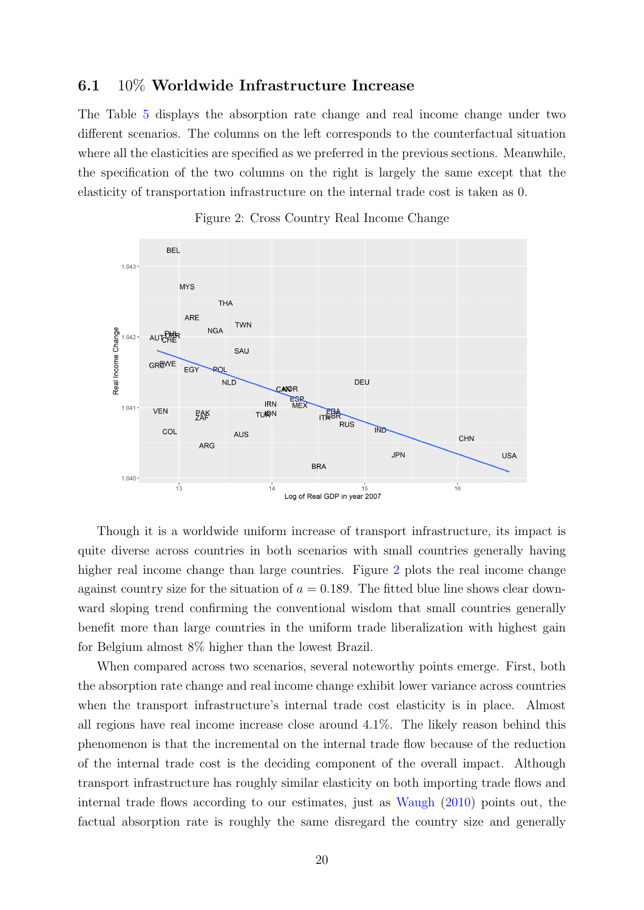#### 6.1 10% Worldwide Infrastructure Increase

The Table [5](#page-22-0) displays the absorption rate change and real income change under two different scenarios. The columns on the left corresponds to the counterfactual situation where all the elasticities are specified as we preferred in the previous sections. Meanwhile, the specification of the two columns on the right is largely the same except that the elasticity of transportation infrastructure on the internal trade cost is taken as 0.



<span id="page-21-0"></span>

Though it is a worldwide uniform increase of transport infrastructure, its impact is quite diverse across countries in both scenarios with small countries generally having higher real income change than large countries. Figure [2](#page-21-0) plots the real income change against country size for the situation of  $a = 0.189$ . The fitted blue line shows clear downward sloping trend confirming the conventional wisdom that small countries generally benefit more than large countries in the uniform trade liberalization with highest gain for Belgium almost 8% higher than the lowest Brazil.

When compared across two scenarios, several noteworthy points emerge. First, both the absorption rate change and real income change exhibit lower variance across countries when the transport infrastructure's internal trade cost elasticity is in place. Almost all regions have real income increase close around 4.1%. The likely reason behind this phenomenon is that the incremental on the internal trade flow because of the reduction of the internal trade cost is the deciding component of the overall impact. Although transport infrastructure has roughly similar elasticity on both importing trade flows and internal trade flows according to our estimates, just as [Waugh](#page-39-9) [\(2010\)](#page-39-9) points out, the factual absorption rate is roughly the same disregard the country size and generally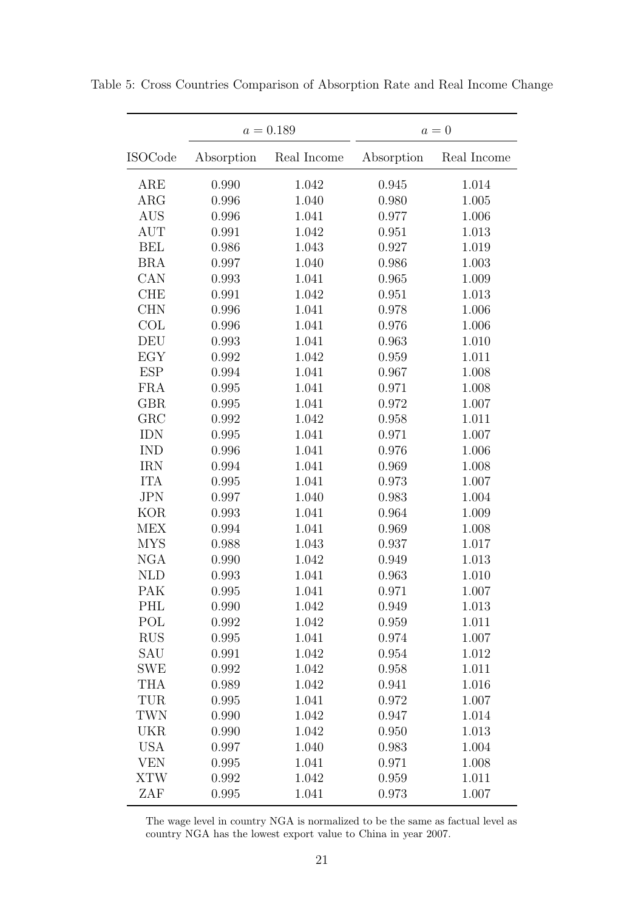<span id="page-22-0"></span>

|                | $a = 0.189$ |             | $a=0$      |             |
|----------------|-------------|-------------|------------|-------------|
| <b>ISOCode</b> | Absorption  | Real Income | Absorption | Real Income |
| $_{\rm ARE}$   | 0.990       | 1.042       | 0.945      | 1.014       |
| ARG            | 0.996       | 1.040       | 0.980      | 1.005       |
| <b>AUS</b>     | 0.996       | 1.041       | 0.977      | 1.006       |
| <b>AUT</b>     | 0.991       | 1.042       | 0.951      | 1.013       |
| <b>BEL</b>     | 0.986       | 1.043       | 0.927      | 1.019       |
| <b>BRA</b>     | 0.997       | 1.040       | 0.986      | 1.003       |
| CAN            | 0.993       | 1.041       | 0.965      | 1.009       |
| <b>CHE</b>     | 0.991       | 1.042       | 0.951      | 1.013       |
| <b>CHN</b>     | 0.996       | 1.041       | 0.978      | 1.006       |
| COL            | 0.996       | 1.041       | 0.976      | 1.006       |
| DEU            | 0.993       | 1.041       | 0.963      | 1.010       |
| EGY            | 0.992       | 1.042       | 0.959      | 1.011       |
| <b>ESP</b>     | 0.994       | 1.041       | 0.967      | 1.008       |
| <b>FRA</b>     | 0.995       | 1.041       | 0.971      | 1.008       |
| <b>GBR</b>     | 0.995       | 1.041       | 0.972      | 1.007       |
| GRC            | 0.992       | 1.042       | 0.958      | 1.011       |
| <b>IDN</b>     | 0.995       | 1.041       | 0.971      | 1.007       |
| <b>IND</b>     | 0.996       | 1.041       | 0.976      | 1.006       |
| <b>IRN</b>     | 0.994       | 1.041       | 0.969      | 1.008       |
| <b>ITA</b>     | 0.995       | 1.041       | 0.973      | 1.007       |
| <b>JPN</b>     | 0.997       | 1.040       | 0.983      | 1.004       |
| <b>KOR</b>     | 0.993       | 1.041       | 0.964      | 1.009       |
| <b>MEX</b>     | 0.994       | 1.041       | 0.969      | 1.008       |
| <b>MYS</b>     | 0.988       | 1.043       | 0.937      | 1.017       |
| <b>NGA</b>     | 0.990       | 1.042       | 0.949      | 1.013       |
| <b>NLD</b>     | 0.993       | 1.041       | 0.963      | 1.010       |
| PAK            | 0.995       | 1.041       | 0.971      | 1.007       |
| PHL            | 0.990       | 1.042       | 0.949      | 1.013       |
| POL            | 0.992       | 1.042       | 0.959      | 1.011       |
| <b>RUS</b>     | 0.995       | 1.041       | 0.974      | 1.007       |
| SAU            | 0.991       | 1.042       | 0.954      | 1.012       |
| <b>SWE</b>     | 0.992       | 1.042       | 0.958      | 1.011       |
| <b>THA</b>     | 0.989       | 1.042       | 0.941      | 1.016       |
| TUR            | 0.995       | 1.041       | 0.972      | 1.007       |
| <b>TWN</b>     | 0.990       | 1.042       | 0.947      | 1.014       |
| <b>UKR</b>     | 0.990       | 1.042       | 0.950      | 1.013       |
| <b>USA</b>     | 0.997       | 1.040       | 0.983      | 1.004       |
| <b>VEN</b>     | 0.995       | 1.041       | 0.971      | 1.008       |
| <b>XTW</b>     | 0.992       | 1.042       | 0.959      | 1.011       |
| ZAF            | 0.995       | 1.041       | 0.973      | 1.007       |

Table 5: Cross Countries Comparison of Absorption Rate and Real Income Change

The wage level in country NGA is normalized to be the same as factual level as country NGA has the lowest export value to China in year 2007.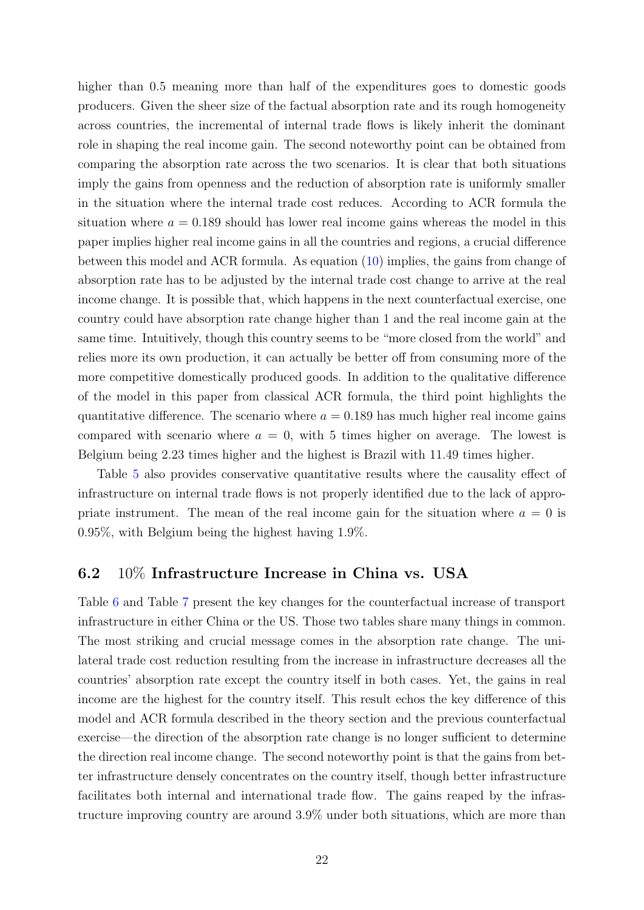higher than 0.5 meaning more than half of the expenditures goes to domestic goods producers. Given the sheer size of the factual absorption rate and its rough homogeneity across countries, the incremental of internal trade flows is likely inherit the dominant role in shaping the real income gain. The second noteworthy point can be obtained from comparing the absorption rate across the two scenarios. It is clear that both situations imply the gains from openness and the reduction of absorption rate is uniformly smaller in the situation where the internal trade cost reduces. According to ACR formula the situation where  $a = 0.189$  should has lower real income gains whereas the model in this paper implies higher real income gains in all the countries and regions, a crucial difference between this model and ACR formula. As equation [\(10\)](#page-7-2) implies, the gains from change of absorption rate has to be adjusted by the internal trade cost change to arrive at the real income change. It is possible that, which happens in the next counterfactual exercise, one country could have absorption rate change higher than 1 and the real income gain at the same time. Intuitively, though this country seems to be "more closed from the world" and relies more its own production, it can actually be better off from consuming more of the more competitive domestically produced goods. In addition to the qualitative difference of the model in this paper from classical ACR formula, the third point highlights the quantitative difference. The scenario where  $a = 0.189$  has much higher real income gains compared with scenario where  $a = 0$ , with 5 times higher on average. The lowest is Belgium being 2.23 times higher and the highest is Brazil with 11.49 times higher.

Table [5](#page-22-0) also provides conservative quantitative results where the causality effect of infrastructure on internal trade flows is not properly identified due to the lack of appropriate instrument. The mean of the real income gain for the situation where  $a = 0$  is 0.95%, with Belgium being the highest having 1.9%.

#### 6.2 10% Infrastructure Increase in China vs. USA

Table [6](#page-25-0) and Table [7](#page-26-0) present the key changes for the counterfactual increase of transport infrastructure in either China or the US. Those two tables share many things in common. The most striking and crucial message comes in the absorption rate change. The unilateral trade cost reduction resulting from the increase in infrastructure decreases all the countries' absorption rate except the country itself in both cases. Yet, the gains in real income are the highest for the country itself. This result echos the key difference of this model and ACR formula described in the theory section and the previous counterfactual exercise—the direction of the absorption rate change is no longer sufficient to determine the direction real income change. The second noteworthy point is that the gains from better infrastructure densely concentrates on the country itself, though better infrastructure facilitates both internal and international trade flow. The gains reaped by the infrastructure improving country are around 3.9% under both situations, which are more than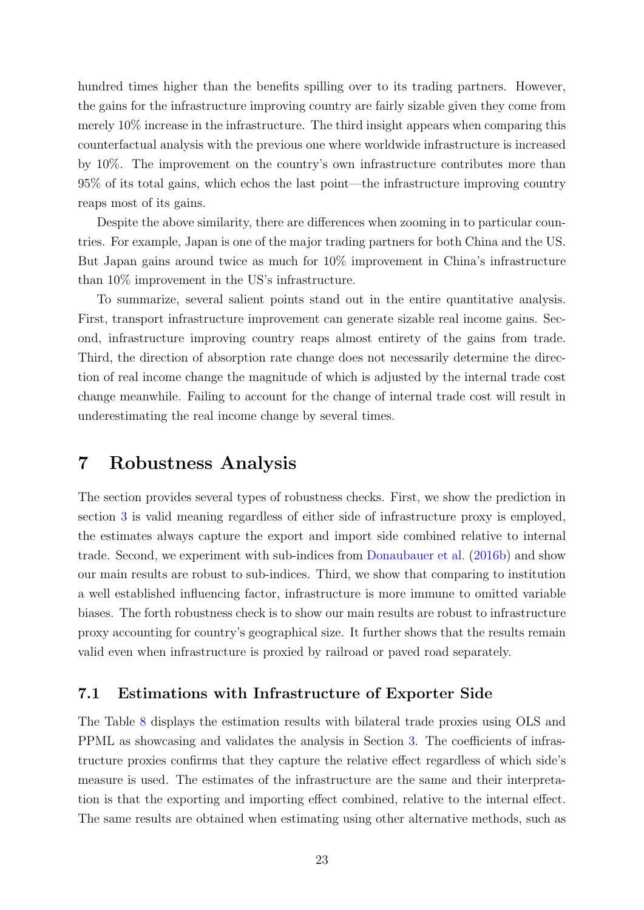hundred times higher than the benefits spilling over to its trading partners. However, the gains for the infrastructure improving country are fairly sizable given they come from merely 10% increase in the infrastructure. The third insight appears when comparing this counterfactual analysis with the previous one where worldwide infrastructure is increased by 10%. The improvement on the country's own infrastructure contributes more than 95% of its total gains, which echos the last point—the infrastructure improving country reaps most of its gains.

Despite the above similarity, there are differences when zooming in to particular countries. For example, Japan is one of the major trading partners for both China and the US. But Japan gains around twice as much for 10% improvement in China's infrastructure than 10% improvement in the US's infrastructure.

To summarize, several salient points stand out in the entire quantitative analysis. First, transport infrastructure improvement can generate sizable real income gains. Second, infrastructure improving country reaps almost entirety of the gains from trade. Third, the direction of absorption rate change does not necessarily determine the direction of real income change the magnitude of which is adjusted by the internal trade cost change meanwhile. Failing to account for the change of internal trade cost will result in underestimating the real income change by several times.

#### <span id="page-24-0"></span>7 Robustness Analysis

The section provides several types of robustness checks. First, we show the prediction in section [3](#page-8-0) is valid meaning regardless of either side of infrastructure proxy is employed, the estimates always capture the export and import side combined relative to internal trade. Second, we experiment with sub-indices from [Donaubauer et al.](#page-38-2) [\(2016b\)](#page-38-2) and show our main results are robust to sub-indices. Third, we show that comparing to institution a well established influencing factor, infrastructure is more immune to omitted variable biases. The forth robustness check is to show our main results are robust to infrastructure proxy accounting for country's geographical size. It further shows that the results remain valid even when infrastructure is proxied by railroad or paved road separately.

#### 7.1 Estimations with Infrastructure of Exporter Side

The Table [8](#page-27-0) displays the estimation results with bilateral trade proxies using OLS and PPML as showcasing and validates the analysis in Section [3.](#page-8-0) The coefficients of infrastructure proxies confirms that they capture the relative effect regardless of which side's measure is used. The estimates of the infrastructure are the same and their interpretation is that the exporting and importing effect combined, relative to the internal effect. The same results are obtained when estimating using other alternative methods, such as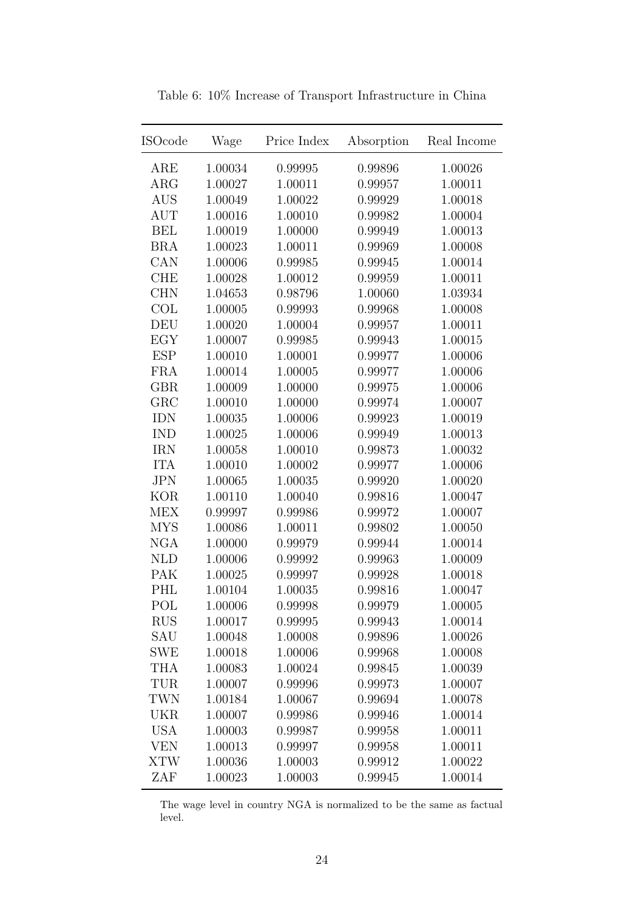| $_{\rm ISOcode}$ | Wage    | Price Index | Absorption | Real Income |
|------------------|---------|-------------|------------|-------------|
| ARE              | 1.00034 | 0.99995     | 0.99896    | 1.00026     |
| <b>ARG</b>       | 1.00027 | 1.00011     | 0.99957    | 1.00011     |
| <b>AUS</b>       | 1.00049 | 1.00022     | 0.99929    | 1.00018     |
| <b>AUT</b>       | 1.00016 | 1.00010     | 0.99982    | 1.00004     |
| <b>BEL</b>       | 1.00019 | 1.00000     | 0.99949    | 1.00013     |
| <b>BRA</b>       | 1.00023 | 1.00011     | 0.99969    | 1.00008     |
| CAN              | 1.00006 | 0.99985     | 0.99945    | 1.00014     |
| <b>CHE</b>       | 1.00028 | 1.00012     | 0.99959    | 1.00011     |
| <b>CHN</b>       | 1.04653 | 0.98796     | 1.00060    | 1.03934     |
| COL              | 1.00005 | 0.99993     | 0.99968    | 1.00008     |
| <b>DEU</b>       | 1.00020 | 1.00004     | 0.99957    | 1.00011     |
| EGY              | 1.00007 | 0.99985     | 0.99943    | 1.00015     |
| <b>ESP</b>       | 1.00010 | 1.00001     | 0.99977    | 1.00006     |
| <b>FRA</b>       | 1.00014 | 1.00005     | 0.99977    | 1.00006     |
| <b>GBR</b>       | 1.00009 | 1.00000     | 0.99975    | 1.00006     |
| GRC              | 1.00010 | 1.00000     | 0.99974    | 1.00007     |
| <b>IDN</b>       | 1.00035 | 1.00006     | 0.99923    | 1.00019     |
| <b>IND</b>       | 1.00025 | 1.00006     | 0.99949    | 1.00013     |
| <b>IRN</b>       | 1.00058 | 1.00010     | 0.99873    | 1.00032     |
| <b>ITA</b>       | 1.00010 | 1.00002     | 0.99977    | 1.00006     |
| <b>JPN</b>       | 1.00065 | 1.00035     | 0.99920    | 1.00020     |
| <b>KOR</b>       | 1.00110 | 1.00040     | 0.99816    | 1.00047     |
| <b>MEX</b>       | 0.99997 | 0.99986     | 0.99972    | 1.00007     |
| <b>MYS</b>       | 1.00086 | 1.00011     | 0.99802    | 1.00050     |
| <b>NGA</b>       | 1.00000 | 0.99979     | 0.99944    | 1.00014     |
| <b>NLD</b>       | 1.00006 | 0.99992     | 0.99963    | 1.00009     |
| <b>PAK</b>       | 1.00025 | 0.99997     | 0.99928    | 1.00018     |
| PHL              | 1.00104 | 1.00035     | 0.99816    | 1.00047     |
| POL              | 1.00006 | 0.99998     | 0.99979    | 1.00005     |
| <b>RUS</b>       | 1.00017 | 0.99995     | 0.99943    | 1.00014     |
| SAU              | 1.00048 | 1.00008     | 0.99896    | 1.00026     |
| SWE              | 1.00018 | 1.00006     | 0.99968    | 1.00008     |
| <b>THA</b>       | 1.00083 | 1.00024     | 0.99845    | 1.00039     |
| TUR              | 1.00007 | 0.99996     | 0.99973    | 1.00007     |
| <b>TWN</b>       | 1.00184 | 1.00067     | 0.99694    | 1.00078     |
| <b>UKR</b>       | 1.00007 | 0.99986     | 0.99946    | 1.00014     |
| <b>USA</b>       | 1.00003 | 0.99987     | 0.99958    | 1.00011     |
| <b>VEN</b>       | 1.00013 | 0.99997     | 0.99958    | 1.00011     |
| <b>XTW</b>       | 1.00036 | 1.00003     | 0.99912    | 1.00022     |
| ZAF              | 1.00023 | 1.00003     | 0.99945    | 1.00014     |

<span id="page-25-0"></span>Table 6: 10% Increase of Transport Infrastructure in China

The wage level in country NGA is normalized to be the same as factual level.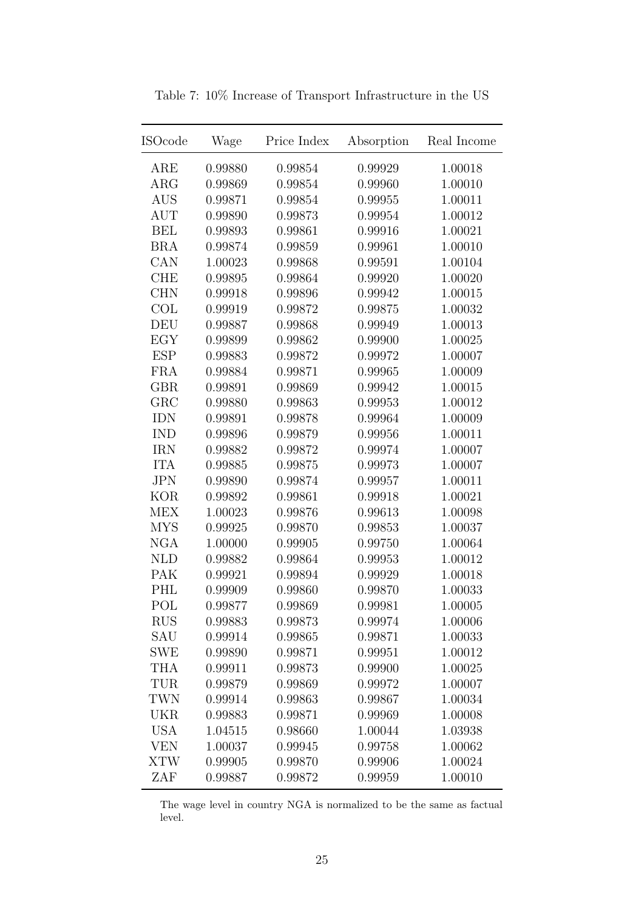| $_{\rm ISOcode}$ | Wage    | Price Index | Absorption | Real Income |
|------------------|---------|-------------|------------|-------------|
| ARE              | 0.99880 | 0.99854     | 0.99929    | 1.00018     |
| $\rm{ARG}$       | 0.99869 | 0.99854     | 0.99960    | 1.00010     |
| <b>AUS</b>       | 0.99871 | 0.99854     | 0.99955    | 1.00011     |
| <b>AUT</b>       | 0.99890 | 0.99873     | 0.99954    | 1.00012     |
| <b>BEL</b>       | 0.99893 | 0.99861     | 0.99916    | 1.00021     |
| <b>BRA</b>       | 0.99874 | 0.99859     | 0.99961    | 1.00010     |
| CAN              | 1.00023 | 0.99868     | 0.99591    | 1.00104     |
| <b>CHE</b>       | 0.99895 | 0.99864     | 0.99920    | 1.00020     |
| <b>CHN</b>       | 0.99918 | 0.99896     | 0.99942    | 1.00015     |
| COL              | 0.99919 | 0.99872     | 0.99875    | 1.00032     |
| DEU              | 0.99887 | 0.99868     | 0.99949    | 1.00013     |
| EGY              | 0.99899 | 0.99862     | 0.99900    | 1.00025     |
| <b>ESP</b>       | 0.99883 | 0.99872     | 0.99972    | 1.00007     |
| <b>FRA</b>       | 0.99884 | 0.99871     | 0.99965    | 1.00009     |
| <b>GBR</b>       | 0.99891 | 0.99869     | 0.99942    | 1.00015     |
| GRC              | 0.99880 | 0.99863     | 0.99953    | 1.00012     |
| <b>IDN</b>       | 0.99891 | 0.99878     | 0.99964    | 1.00009     |
| <b>IND</b>       | 0.99896 | 0.99879     | 0.99956    | 1.00011     |
| <b>IRN</b>       | 0.99882 | 0.99872     | 0.99974    | 1.00007     |
| <b>ITA</b>       | 0.99885 | 0.99875     | 0.99973    | 1.00007     |
| <b>JPN</b>       | 0.99890 | 0.99874     | 0.99957    | 1.00011     |
| <b>KOR</b>       | 0.99892 | 0.99861     | 0.99918    | 1.00021     |
| <b>MEX</b>       | 1.00023 | 0.99876     | 0.99613    | 1.00098     |
| <b>MYS</b>       | 0.99925 | 0.99870     | 0.99853    | 1.00037     |
| <b>NGA</b>       | 1.00000 | 0.99905     | 0.99750    | 1.00064     |
| <b>NLD</b>       | 0.99882 | 0.99864     | 0.99953    | 1.00012     |
| PAK              | 0.99921 | 0.99894     | 0.99929    | 1.00018     |
| PHL              | 0.99909 | 0.99860     | 0.99870    | 1.00033     |
| POL              | 0.99877 | 0.99869     | 0.99981    | 1.00005     |
| <b>RUS</b>       | 0.99883 | 0.99873     | 0.99974    | 1.00006     |
| SAU              | 0.99914 | 0.99865     | 0.99871    | 1.00033     |
| SWE              | 0.99890 | 0.99871     | 0.99951    | 1.00012     |
| <b>THA</b>       | 0.99911 | 0.99873     | 0.99900    | 1.00025     |
| TUR              | 0.99879 | 0.99869     | 0.99972    | 1.00007     |
| <b>TWN</b>       | 0.99914 | 0.99863     | 0.99867    | 1.00034     |
| <b>UKR</b>       | 0.99883 | 0.99871     | 0.99969    | 1.00008     |
| <b>USA</b>       | 1.04515 | 0.98660     | 1.00044    | 1.03938     |
| <b>VEN</b>       | 1.00037 | 0.99945     | 0.99758    | 1.00062     |
| <b>XTW</b>       | 0.99905 | 0.99870     | 0.99906    | 1.00024     |
| ZAF              | 0.99887 | 0.99872     | 0.99959    | 1.00010     |

<span id="page-26-0"></span>Table 7: 10% Increase of Transport Infrastructure in the US

The wage level in country NGA is normalized to be the same as factual level.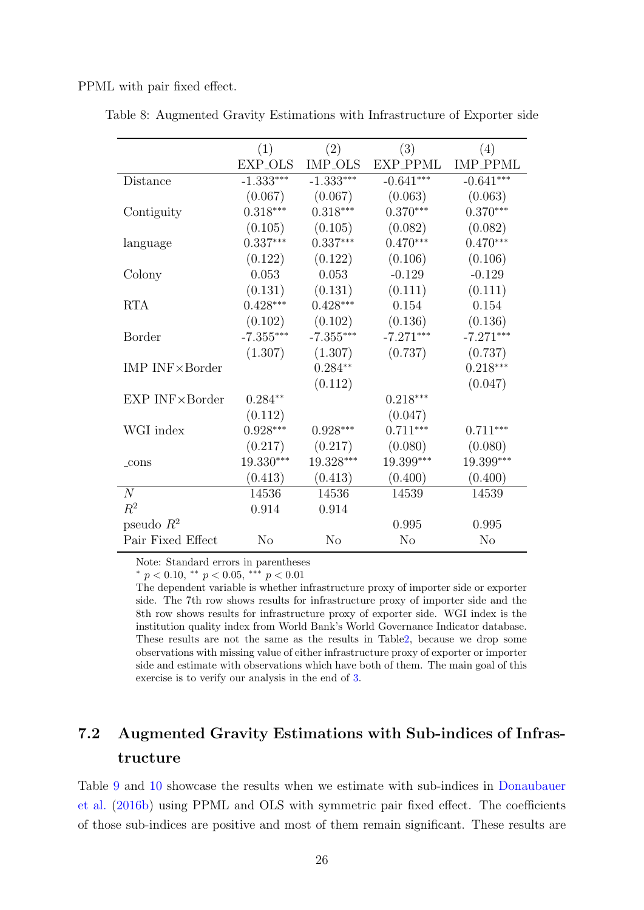PPML with pair fixed effect.

|                           | (1)            | (2)         | (3)            | (4)             |
|---------------------------|----------------|-------------|----------------|-----------------|
|                           | EXP_OLS        | IMP_OLS     | EXP_PPML       | <b>IMP_PPML</b> |
| Distance                  | $-1.333***$    | $-1.333***$ | $-0.641***$    | $-0.641***$     |
|                           | (0.067)        | (0.067)     | (0.063)        | (0.063)         |
| Contiguity                | $0.318***$     | $0.318***$  | $0.370***$     | $0.370***$      |
|                           | (0.105)        | (0.105)     | (0.082)        | (0.082)         |
| language                  | $0.337***$     | $0.337***$  | $0.470***$     | $0.470***$      |
|                           | (0.122)        | (0.122)     | (0.106)        | (0.106)         |
| Colony                    | 0.053          | 0.053       | $-0.129$       | $-0.129$        |
|                           | (0.131)        | (0.131)     | (0.111)        | (0.111)         |
| <b>RTA</b>                | $0.428***$     | $0.428***$  | 0.154          | 0.154           |
|                           | (0.102)        | (0.102)     | (0.136)        | (0.136)         |
| <b>Border</b>             | $-7.355***$    | $-7.355***$ | $-7.271***$    | $-7.271***$     |
|                           | (1.307)        | (1.307)     | (0.737)        | (0.737)         |
| IMP $INF \times B$ order  |                | $0.284**$   |                | $0.218***$      |
|                           |                | (0.112)     |                | (0.047)         |
| $EXP$ INF $\times$ Border | $0.284**$      |             | $0.218***$     |                 |
|                           | (0.112)        |             | (0.047)        |                 |
| WGI index                 | $0.928***$     | $0.928***$  | $0.711***$     | $0.711***$      |
|                           | (0.217)        | (0.217)     | (0.080)        | (0.080)         |
| $_{\rm-cons}$             | 19.330***      | 19.328***   | 19.399***      | 19.399***       |
|                           | (0.413)        | (0.413)     | (0.400)        | (0.400)         |
| N                         | 14536          | 14536       | 14539          | 14539           |
| $R^2$                     | 0.914          | 0.914       |                |                 |
| pseudo $R^2$              |                |             | 0.995          | 0.995           |
| Pair Fixed Effect         | N <sub>o</sub> | No          | N <sub>o</sub> | N <sub>o</sub>  |

<span id="page-27-0"></span>Table 8: Augmented Gravity Estimations with Infrastructure of Exporter side

Note: Standard errors in parentheses

 $*$  p < 0.10,  $*$  p < 0.05,  $**$  p < 0.01

The dependent variable is whether infrastructure proxy of importer side or exporter side. The 7th row shows results for infrastructure proxy of importer side and the 8th row shows results for infrastructure proxy of exporter side. WGI index is the institution quality index from World Bank's World Governance Indicator database. These results are not the same as the results in Tabl[e2,](#page-15-0) because we drop some observations with missing value of either infrastructure proxy of exporter or importer side and estimate with observations which have both of them. The main goal of this exercise is to verify our analysis in the end of [3.](#page-8-0)

# 7.2 Augmented Gravity Estimations with Sub-indices of Infrastructure

Table [9](#page-28-0) and [10](#page-29-0) showcase the results when we estimate with sub-indices in [Donaubauer](#page-38-2) [et al.](#page-38-2) [\(2016b\)](#page-38-2) using PPML and OLS with symmetric pair fixed effect. The coefficients of those sub-indices are positive and most of them remain significant. These results are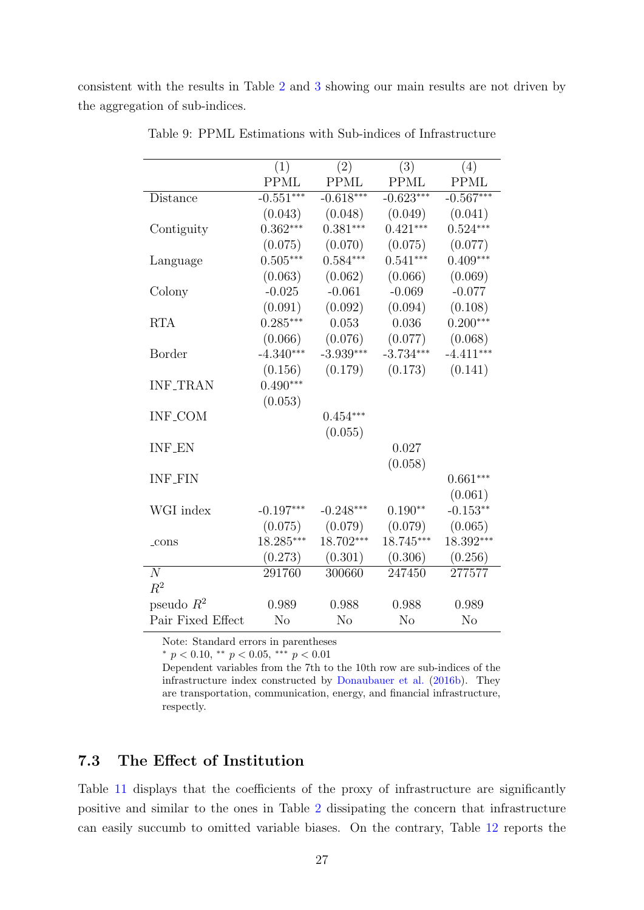consistent with the results in Table [2](#page-15-0) and [3](#page-16-0) showing our main results are not driven by the aggregation of sub-indices.

|                   | (1)            | (2)            | (3)            | (4)            |
|-------------------|----------------|----------------|----------------|----------------|
|                   | <b>PPML</b>    | <b>PPML</b>    | PPML           | <b>PPML</b>    |
| Distance          | $-0.551***$    | $-0.618***$    | $-0.623***$    | $-0.567***$    |
|                   | (0.043)        | (0.048)        | (0.049)        | (0.041)        |
| Contiguity        | $0.362***$     | $0.381***$     | $0.421***$     | $0.524***$     |
|                   | (0.075)        | (0.070)        | (0.075)        | (0.077)        |
| Language          | $0.505***$     | $0.584***$     | $0.541***$     | $0.409***$     |
|                   | (0.063)        | (0.062)        | (0.066)        | (0.069)        |
| Colony            | $-0.025$       | $-0.061$       | $-0.069$       | $-0.077$       |
|                   | (0.091)        | (0.092)        | (0.094)        | (0.108)        |
| <b>RTA</b>        | $0.285***$     | 0.053          | 0.036          | $0.200***$     |
|                   | (0.066)        | (0.076)        | (0.077)        | (0.068)        |
| Border            | $-4.340***$    | $-3.939***$    | $-3.734***$    | $-4.411***$    |
|                   | (0.156)        | (0.179)        | (0.173)        | (0.141)        |
| <b>INF_TRAN</b>   | $0.490***$     |                |                |                |
|                   | (0.053)        |                |                |                |
| <b>INF_COM</b>    |                | $0.454***$     |                |                |
|                   |                | (0.055)        |                |                |
| <b>INF_EN</b>     |                |                | 0.027          |                |
|                   |                |                | (0.058)        |                |
| <b>INF_FIN</b>    |                |                |                | $0.661***$     |
|                   |                |                |                | (0.061)        |
| WGI index         | $-0.197***$    | $-0.248***$    | $0.190**$      | $-0.153**$     |
|                   | (0.075)        | (0.079)        | (0.079)        | (0.065)        |
| $_{\rm cons}$     | 18.285***      | 18.702***      | 18.745***      | 18.392***      |
|                   | (0.273)        | (0.301)        | (0.306)        | (0.256)        |
| $\overline{N}$    | 291760         | 300660         | 247450         | 277577         |
| $R^2$             |                |                |                |                |
| pseudo $R^2$      | 0.989          | 0.988          | 0.988          | 0.989          |
| Pair Fixed Effect | N <sub>o</sub> | N <sub>o</sub> | N <sub>o</sub> | N <sub>o</sub> |

<span id="page-28-0"></span>Table 9: PPML Estimations with Sub-indices of Infrastructure

Note: Standard errors in parentheses

\*  $p < 0.10$ , \*\*  $p < 0.05$ , \*\*\*  $p < 0.01$ 

Dependent variables from the 7th to the 10th row are sub-indices of the infrastructure index constructed by [Donaubauer et al.](#page-38-2) [\(2016b\)](#page-38-2). They are transportation, communication, energy, and financial infrastructure, respectly.

#### 7.3 The Effect of Institution

Table [11](#page-30-0) displays that the coefficients of the proxy of infrastructure are significantly positive and similar to the ones in Table [2](#page-15-0) dissipating the concern that infrastructure can easily succumb to omitted variable biases. On the contrary, Table [12](#page-31-0) reports the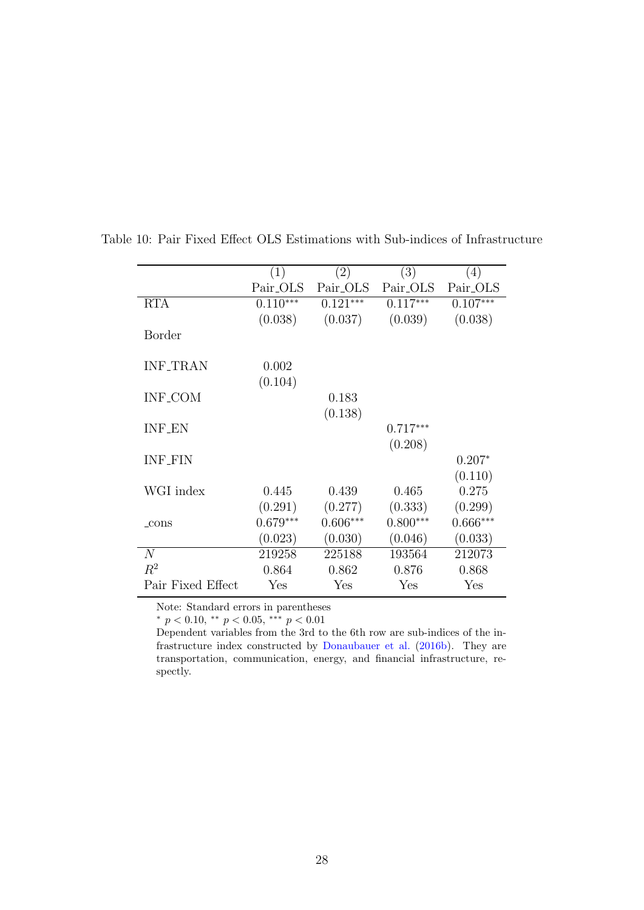<span id="page-29-0"></span>

|                   | (1)         | (2)        | (3)        | (4)        |
|-------------------|-------------|------------|------------|------------|
|                   | Pair_OLS    | Pair_OLS   | Pair_OLS   | Pair_OLS   |
| <b>RTA</b>        | $0.110***$  | $0.121***$ | $0.117***$ | $0.107***$ |
|                   | (0.038)     | (0.037)    | (0.039)    | (0.038)    |
| Border            |             |            |            |            |
|                   |             |            |            |            |
| <b>INF_TRAN</b>   | 0.002       |            |            |            |
|                   | (0.104)     |            |            |            |
| <b>INF_COM</b>    |             | 0.183      |            |            |
|                   |             | (0.138)    |            |            |
| <b>INF_EN</b>     |             |            | $0.717***$ |            |
|                   |             |            | (0.208)    |            |
| <b>INF_FIN</b>    |             |            |            | $0.207*$   |
|                   |             |            |            | (0.110)    |
| WGI index         | 0.445       | 0.439      | 0.465      | 0.275      |
|                   | (0.291)     | (0.277)    | (0.333)    | (0.299)    |
| $_{\rm cons}$     | $0.679***$  | $0.606***$ | $0.800***$ | $0.666***$ |
|                   | (0.023)     | (0.030)    | (0.046)    | (0.033)    |
| N                 | 219258      | 225188     | 193564     | 212073     |
| $R^2$             | 0.864       | 0.862      | 0.876      | 0.868      |
| Pair Fixed Effect | ${\rm Yes}$ | Yes        | Yes        | Yes        |

Table 10: Pair Fixed Effect OLS Estimations with Sub-indices of Infrastructure

Note: Standard errors in parentheses

\*  $p < 0.10$ , \*\*  $p < 0.05$ , \*\*\*  $p < 0.01$ 

Dependent variables from the 3rd to the 6th row are sub-indices of the infrastructure index constructed by [Donaubauer et al.](#page-38-2) [\(2016b\)](#page-38-2). They are transportation, communication, energy, and financial infrastructure, respectly.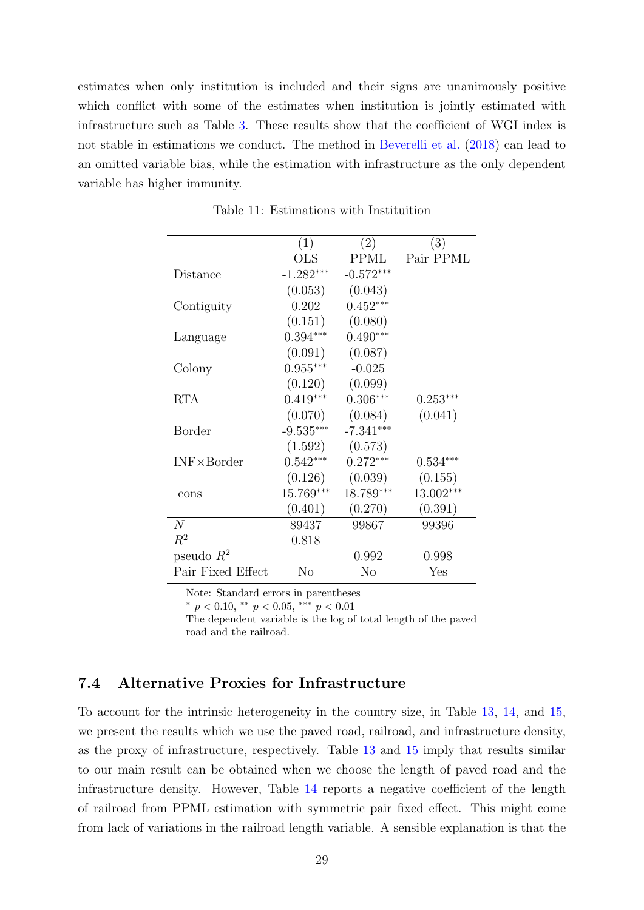estimates when only institution is included and their signs are unanimously positive which conflict with some of the estimates when institution is jointly estimated with infrastructure such as Table [3.](#page-16-0) These results show that the coefficient of WGI index is not stable in estimations we conduct. The method in [Beverelli et al.](#page-37-0) [\(2018\)](#page-37-0) can lead to an omitted variable bias, while the estimation with infrastructure as the only dependent variable has higher immunity.

|                     | (1)          | (2)            | (3)        |
|---------------------|--------------|----------------|------------|
|                     | $_{\rm OLS}$ | <b>PPML</b>    | Pair_PPML  |
| Distance            | $-1.282***$  | $-0.572***$    |            |
|                     | (0.053)      | (0.043)        |            |
| Contiguity          | 0.202        | $0.452***$     |            |
|                     | (0.151)      | (0.080)        |            |
| Language            | $0.394***$   | $0.490***$     |            |
|                     | (0.091)      | (0.087)        |            |
| Colony              | $0.955***$   | $-0.025$       |            |
|                     | (0.120)      | (0.099)        |            |
| <b>RTA</b>          | $0.419***$   | $0.306***$     | $0.253***$ |
|                     | (0.070)      | (0.084)        | (0.041)    |
| Border              | $-9.535***$  | $-7.341***$    |            |
|                     | (1.592)      | (0.573)        |            |
| $INF \times Border$ | $0.542***$   | $0.272***$     | $0.534***$ |
|                     | (0.126)      | (0.039)        | (0.155)    |
| $_{\rm cons}$       | 15.769***    | 18.789***      | 13.002***  |
|                     | (0.401)      | (0.270)        | (0.391)    |
| N                   | 89437        | 99867          | 99396      |
| $R^2$               | 0.818        |                |            |
| pseudo $R^2$        |              | 0.992          | 0.998      |
| Pair Fixed Effect   | No           | N <sub>o</sub> | Yes        |

<span id="page-30-0"></span>Table 11: Estimations with Instituition

Note: Standard errors in parentheses

\*  $p < 0.10$ , \*\*  $p < 0.05$ , \*\*\*  $p < 0.01$ 

The dependent variable is the log of total length of the paved road and the railroad.

#### 7.4 Alternative Proxies for Infrastructure

To account for the intrinsic heterogeneity in the country size, in Table [13,](#page-32-0) [14,](#page-33-0) and [15,](#page-34-0) we present the results which we use the paved road, railroad, and infrastructure density, as the proxy of infrastructure, respectively. Table [13](#page-32-0) and [15](#page-34-0) imply that results similar to our main result can be obtained when we choose the length of paved road and the infrastructure density. However, Table [14](#page-33-0) reports a negative coefficient of the length of railroad from PPML estimation with symmetric pair fixed effect. This might come from lack of variations in the railroad length variable. A sensible explanation is that the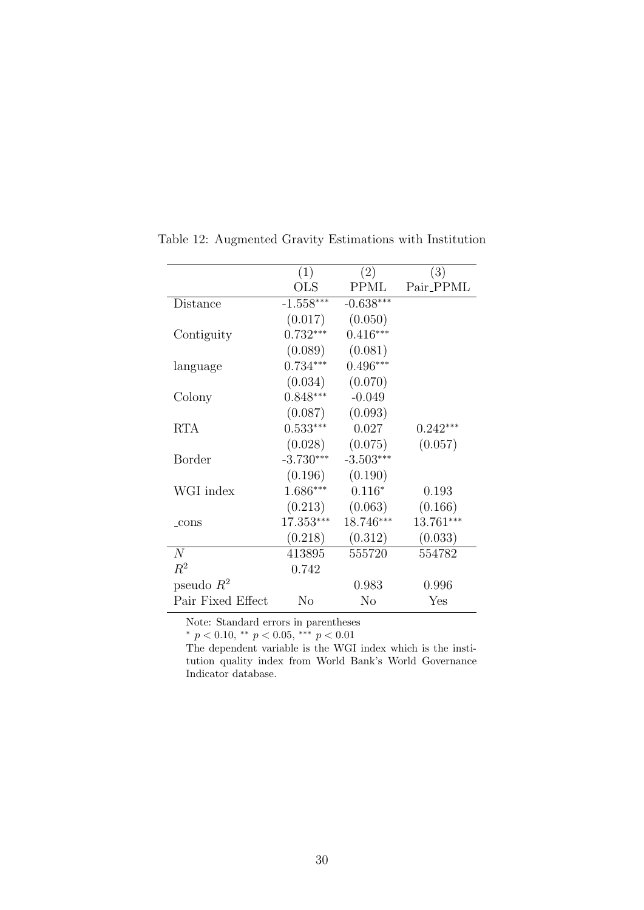|                   | (1)         | (2)         | (3)        |
|-------------------|-------------|-------------|------------|
|                   | <b>OLS</b>  | <b>PPML</b> | Pair_PPML  |
| Distance          | $-1.558***$ | $-0.638***$ |            |
|                   | (0.017)     | (0.050)     |            |
| Contiguity        | $0.732***$  | $0.416***$  |            |
|                   | (0.089)     | (0.081)     |            |
| language          | $0.734***$  | $0.496***$  |            |
|                   | (0.034)     | (0.070)     |            |
| Colony            | $0.848***$  | $-0.049$    |            |
|                   | (0.087)     | (0.093)     |            |
| <b>RTA</b>        | $0.533***$  | 0.027       | $0.242***$ |
|                   | (0.028)     | (0.075)     | (0.057)    |
| Border            | $-3.730***$ | $-3.503***$ |            |
|                   | (0.196)     | (0.190)     |            |
| WGI index         | 1.686***    | $0.116*$    | 0.193      |
|                   | (0.213)     | (0.063)     | (0.166)    |
| $_{\rm cons}$     | 17.353***   | 18.746***   | 13.761***  |
|                   | (0.218)     | (0.312)     | (0.033)    |
| N                 | 413895      | 555720      | 554782     |
| $R^2$             | 0.742       |             |            |
| pseudo $R^2$      |             | 0.983       | 0.996      |
| Pair Fixed Effect | $\rm No$    | $\rm No$    | Yes        |

<span id="page-31-0"></span>Table 12: Augmented Gravity Estimations with Institution

Note: Standard errors in parentheses

\*  $p < 0.10$ , \*\*  $p < 0.05$ , \*\*\*  $p < 0.01$ 

The dependent variable is the WGI index which is the institution quality index from World Bank's World Governance Indicator database.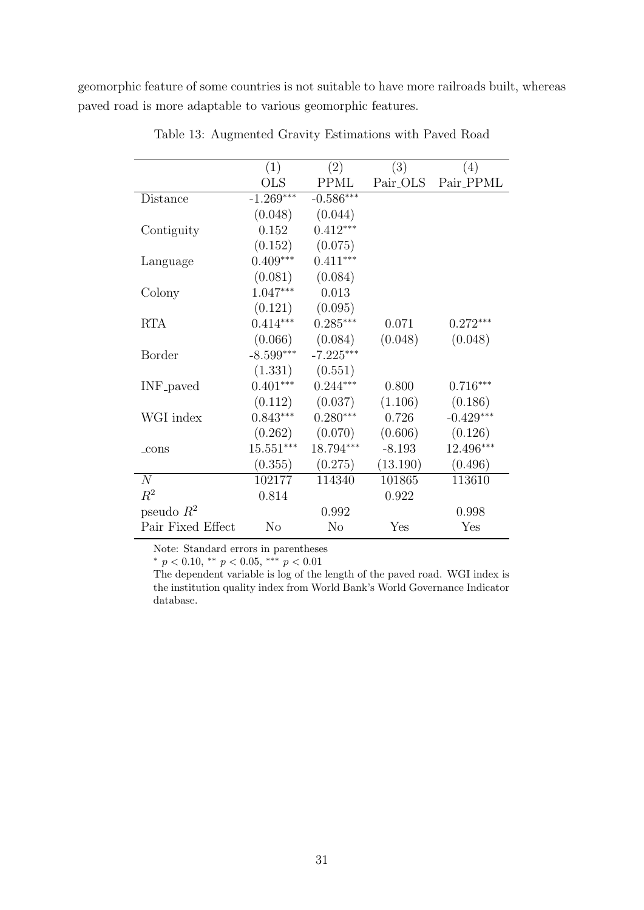geomorphic feature of some countries is not suitable to have more railroads built, whereas paved road is more adaptable to various geomorphic features.

|                       | (1)                     | (2)            | (3)                  | $\left(4\right)$ |
|-----------------------|-------------------------|----------------|----------------------|------------------|
|                       | $_{\rm OLS}$            | <b>PPML</b>    | Pair <sub>-OLS</sub> | Pair_PPML        |
| Distance              | $-1.269***$             | $-0.586***$    |                      |                  |
|                       | (0.048)                 | (0.044)        |                      |                  |
| Contiguity            | 0.152                   | $0.412***$     |                      |                  |
|                       | (0.152)                 | (0.075)        |                      |                  |
| Language              | $0.409***$              | $0.411***$     |                      |                  |
|                       | (0.081)                 | (0.084)        |                      |                  |
| Colony                | 1.047***                | 0.013          |                      |                  |
|                       | (0.121)                 | (0.095)        |                      |                  |
| <b>RTA</b>            | $0.414***$              | $0.285***$     | 0.071                | $0.272***$       |
|                       | (0.066)                 | (0.084)        | (0.048)              | (0.048)          |
| Border                | $-8.599***$             | $-7.225***$    |                      |                  |
|                       | (1.331)                 | (0.551)        |                      |                  |
| INF <sub>-payed</sub> | $0.401***$              | $0.244***$     | 0.800                | $0.716***$       |
|                       | (0.112)                 | (0.037)        | (1.106)              | (0.186)          |
| WGI index             | $0.843***$              | $0.280***$     | 0.726                | $-0.429***$      |
|                       | (0.262)                 | (0.070)        | (0.606)              | (0.126)          |
| $_{\rm cons}$         | $15.551^{\ast\ast\ast}$ | 18.794***      | $-8.193$             | 12.496***        |
|                       | (0.355)                 | (0.275)        | (13.190)             | (0.496)          |
| N                     | $10217\overline{7}$     | 114340         | 101865               | 113610           |
| $R^2$                 | 0.814                   |                | 0.922                |                  |
| pseudo $R^2$          |                         | 0.992          |                      | 0.998            |
| Pair Fixed Effect     | $\rm No$                | N <sub>o</sub> | Yes                  | Yes              |

<span id="page-32-0"></span>Table 13: Augmented Gravity Estimations with Paved Road

Note: Standard errors in parentheses

\*  $p < 0.10$ , \*\*  $p < 0.05$ , \*\*\*  $p < 0.01$ 

The dependent variable is log of the length of the paved road. WGI index is the institution quality index from World Bank's World Governance Indicator database.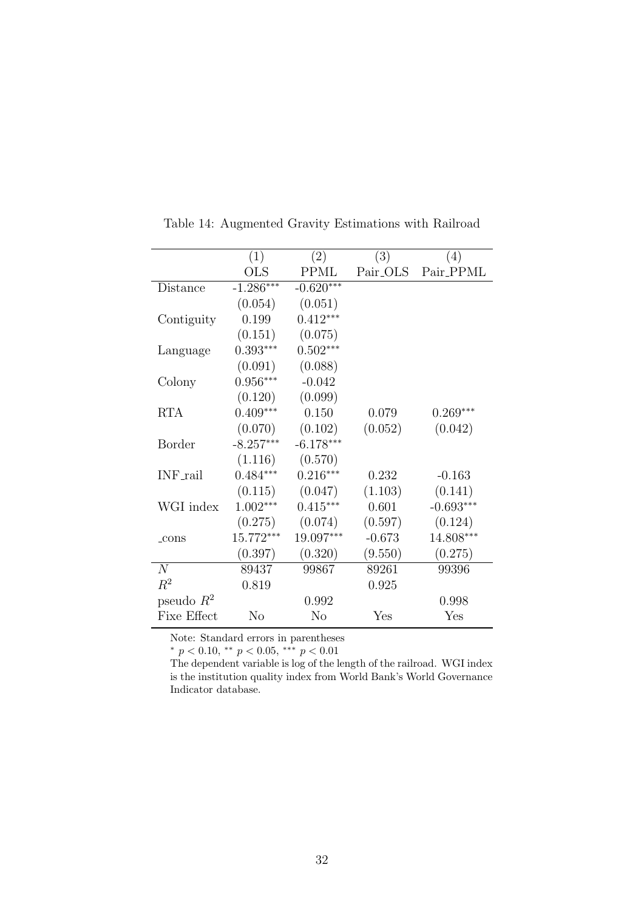|                 | (1)          | (2)         | (3)      | (4)         |
|-----------------|--------------|-------------|----------|-------------|
|                 | $_{\rm OLS}$ | <b>PPML</b> | Pair_OLS | Pair_PPML   |
| Distance        | $-1.286***$  | $-0.620***$ |          |             |
|                 | (0.054)      | (0.051)     |          |             |
| Contiguity      | 0.199        | $0.412***$  |          |             |
|                 | (0.151)      | (0.075)     |          |             |
| Language        | $0.393***$   | $0.502***$  |          |             |
|                 | (0.091)      | (0.088)     |          |             |
| Colony          | $0.956***$   | $-0.042$    |          |             |
|                 | (0.120)      | (0.099)     |          |             |
| <b>RTA</b>      | $0.409***$   | 0.150       | 0.079    | $0.269***$  |
|                 | (0.070)      | (0.102)     | (0.052)  | (0.042)     |
| Border          | $-8.257***$  | $-6.178***$ |          |             |
|                 | (1.116)      | (0.570)     |          |             |
| <b>INF_rail</b> | $0.484***$   | $0.216***$  | 0.232    | $-0.163$    |
|                 | (0.115)      | (0.047)     | (1.103)  | (0.141)     |
| WGI index       | $1.002***$   | $0.415***$  | 0.601    | $-0.693***$ |
|                 | (0.275)      | (0.074)     | (0.597)  | (0.124)     |
| $_{\rm cons}$   | 15.772***    | 19.097***   | $-0.673$ | 14.808***   |
|                 | (0.397)      | (0.320)     | (9.550)  | (0.275)     |
| N               | 89437        | 99867       | 89261    | 99396       |
| $R^2$           | 0.819        |             | 0.925    |             |
| pseudo $R^2$    |              | 0.992       |          | 0.998       |
| Fixe Effect     | $\rm No$     | No          | Yes      | Yes         |

<span id="page-33-0"></span>Table 14: Augmented Gravity Estimations with Railroad

Note: Standard errors in parentheses

\*  $p < 0.10$ , \*\*  $p < 0.05$ , \*\*\*  $p < 0.01$ 

The dependent variable is log of the length of the railroad. WGI index is the institution quality index from World Bank's World Governance Indicator database.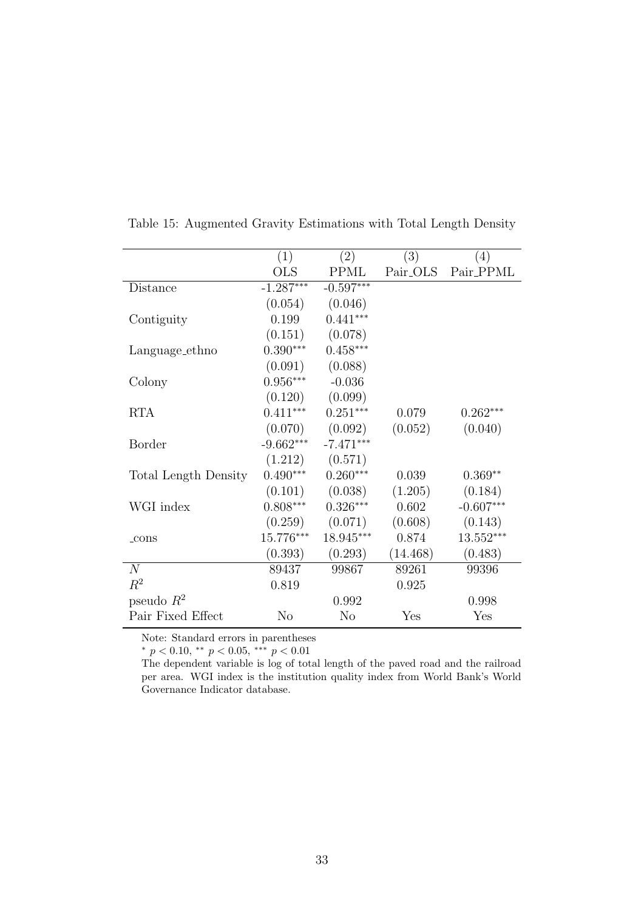|                             | (1)            | (2)            | (3)                  | (4)         |
|-----------------------------|----------------|----------------|----------------------|-------------|
|                             | <b>OLS</b>     | <b>PPML</b>    | Pair <sub>-OLS</sub> | Pair_PPML   |
| Distance                    | $-1.287***$    | $-0.597***$    |                      |             |
|                             | (0.054)        | (0.046)        |                      |             |
| Contiguity                  | 0.199          | $0.441***$     |                      |             |
|                             | (0.151)        | (0.078)        |                      |             |
| Language_ethno              | $0.390***$     | $0.458***$     |                      |             |
|                             | (0.091)        | (0.088)        |                      |             |
| Colony                      | $0.956***$     | $-0.036$       |                      |             |
|                             | (0.120)        | (0.099)        |                      |             |
| <b>RTA</b>                  | $0.411***$     | $0.251***$     | 0.079                | $0.262***$  |
|                             | (0.070)        | (0.092)        | (0.052)              | (0.040)     |
| <b>Border</b>               | $-9.662***$    | $-7.471***$    |                      |             |
|                             | (1.212)        | (0.571)        |                      |             |
| <b>Total Length Density</b> | $0.490***$     | $0.260***$     | 0.039                | $0.369**$   |
|                             | (0.101)        | (0.038)        | (1.205)              | (0.184)     |
| WGI index                   | $0.808***$     | $0.326***$     | 0.602                | $-0.607***$ |
|                             | (0.259)        | (0.071)        | (0.608)              | (0.143)     |
| $_{\rm cons}$               | $15.776***$    | 18.945***      | 0.874                | $13.552***$ |
|                             | (0.393)        | (0.293)        | (14.468)             | (0.483)     |
| $\overline{N}$              | 89437          | 99867          | 89261                | 99396       |
| $R^2$                       | 0.819          |                | 0.925                |             |
| pseudo $R^2$                |                | 0.992          |                      | 0.998       |
| Pair Fixed Effect           | N <sub>o</sub> | N <sub>o</sub> | Yes                  | Yes         |

<span id="page-34-0"></span>Table 15: Augmented Gravity Estimations with Total Length Density

Note: Standard errors in parentheses

 $*$  p < 0.10,  $*$  p < 0.05,  $*$ <sup>\*</sup> p < 0.01

The dependent variable is log of total length of the paved road and the railroad per area. WGI index is the institution quality index from World Bank's World Governance Indicator database.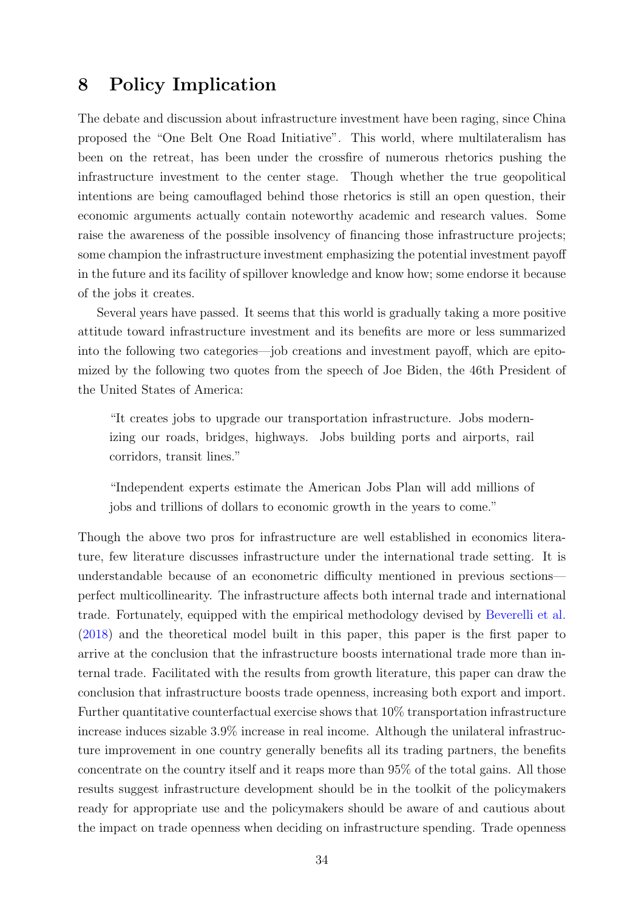## <span id="page-35-0"></span>8 Policy Implication

The debate and discussion about infrastructure investment have been raging, since China proposed the "One Belt One Road Initiative". This world, where multilateralism has been on the retreat, has been under the crossfire of numerous rhetorics pushing the infrastructure investment to the center stage. Though whether the true geopolitical intentions are being camouflaged behind those rhetorics is still an open question, their economic arguments actually contain noteworthy academic and research values. Some raise the awareness of the possible insolvency of financing those infrastructure projects; some champion the infrastructure investment emphasizing the potential investment payoff in the future and its facility of spillover knowledge and know how; some endorse it because of the jobs it creates.

Several years have passed. It seems that this world is gradually taking a more positive attitude toward infrastructure investment and its benefits are more or less summarized into the following two categories—job creations and investment payoff, which are epitomized by the following two quotes from the speech of Joe Biden, the 46th President of the United States of America:

"It creates jobs to upgrade our transportation infrastructure. Jobs modernizing our roads, bridges, highways. Jobs building ports and airports, rail corridors, transit lines."

"Independent experts estimate the American Jobs Plan will add millions of jobs and trillions of dollars to economic growth in the years to come."

Though the above two pros for infrastructure are well established in economics literature, few literature discusses infrastructure under the international trade setting. It is understandable because of an econometric difficulty mentioned in previous sections perfect multicollinearity. The infrastructure affects both internal trade and international trade. Fortunately, equipped with the empirical methodology devised by [Beverelli et al.](#page-37-0) [\(2018\)](#page-37-0) and the theoretical model built in this paper, this paper is the first paper to arrive at the conclusion that the infrastructure boosts international trade more than internal trade. Facilitated with the results from growth literature, this paper can draw the conclusion that infrastructure boosts trade openness, increasing both export and import. Further quantitative counterfactual exercise shows that 10% transportation infrastructure increase induces sizable 3.9% increase in real income. Although the unilateral infrastructure improvement in one country generally benefits all its trading partners, the benefits concentrate on the country itself and it reaps more than 95% of the total gains. All those results suggest infrastructure development should be in the toolkit of the policymakers ready for appropriate use and the policymakers should be aware of and cautious about the impact on trade openness when deciding on infrastructure spending. Trade openness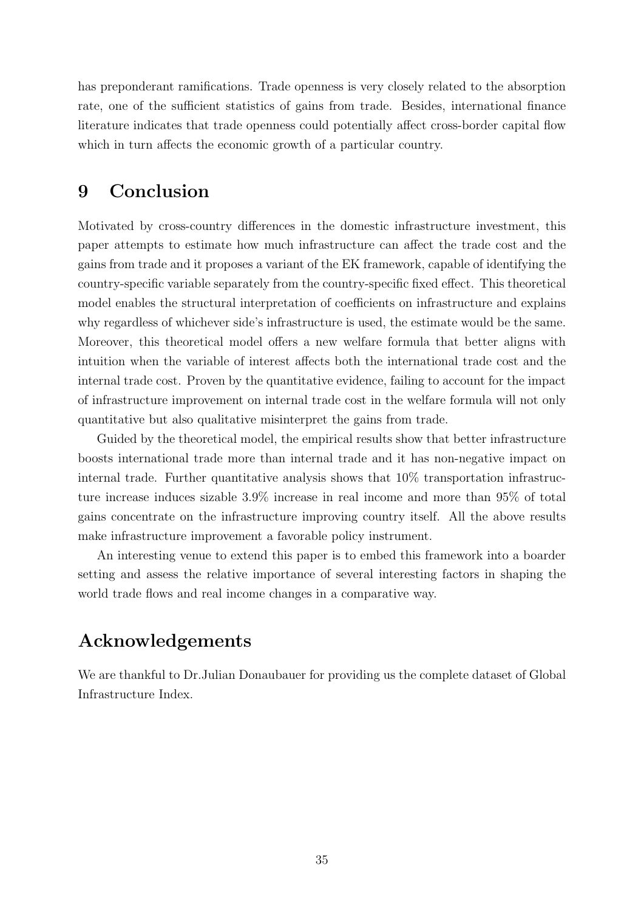has preponderant ramifications. Trade openness is very closely related to the absorption rate, one of the sufficient statistics of gains from trade. Besides, international finance literature indicates that trade openness could potentially affect cross-border capital flow which in turn affects the economic growth of a particular country.

## 9 Conclusion

Motivated by cross-country differences in the domestic infrastructure investment, this paper attempts to estimate how much infrastructure can affect the trade cost and the gains from trade and it proposes a variant of the EK framework, capable of identifying the country-specific variable separately from the country-specific fixed effect. This theoretical model enables the structural interpretation of coefficients on infrastructure and explains why regardless of whichever side's infrastructure is used, the estimate would be the same. Moreover, this theoretical model offers a new welfare formula that better aligns with intuition when the variable of interest affects both the international trade cost and the internal trade cost. Proven by the quantitative evidence, failing to account for the impact of infrastructure improvement on internal trade cost in the welfare formula will not only quantitative but also qualitative misinterpret the gains from trade.

Guided by the theoretical model, the empirical results show that better infrastructure boosts international trade more than internal trade and it has non-negative impact on internal trade. Further quantitative analysis shows that 10% transportation infrastructure increase induces sizable 3.9% increase in real income and more than 95% of total gains concentrate on the infrastructure improving country itself. All the above results make infrastructure improvement a favorable policy instrument.

An interesting venue to extend this paper is to embed this framework into a boarder setting and assess the relative importance of several interesting factors in shaping the world trade flows and real income changes in a comparative way.

# Acknowledgements

We are thankful to Dr.Julian Donaubauer for providing us the complete dataset of Global Infrastructure Index.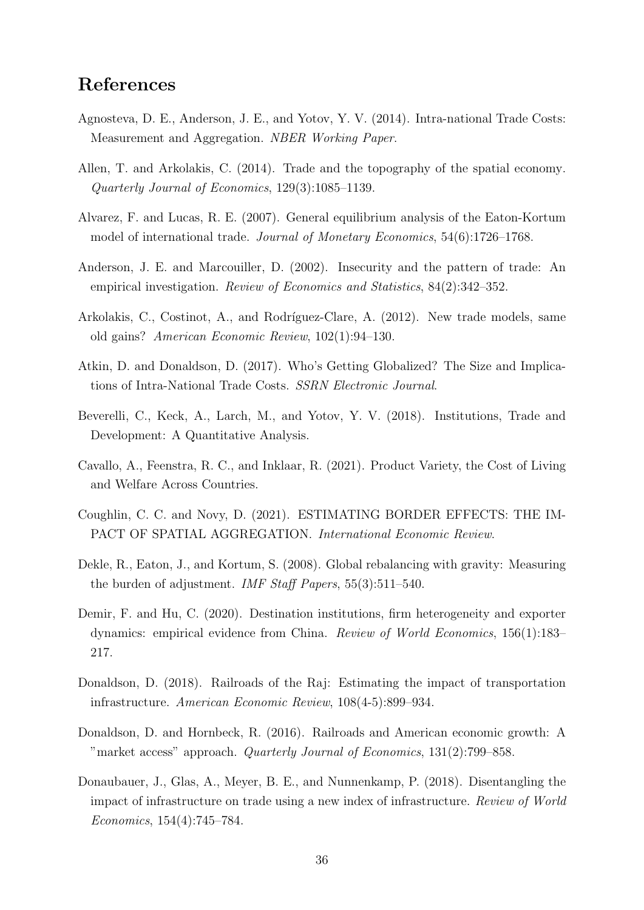# References

- <span id="page-37-9"></span>Agnosteva, D. E., Anderson, J. E., and Yotov, Y. V. (2014). Intra-national Trade Costs: Measurement and Aggregation. NBER Working Paper.
- <span id="page-37-13"></span>Allen, T. and Arkolakis, C. (2014). Trade and the topography of the spatial economy. Quarterly Journal of Economics, 129(3):1085–1139.
- <span id="page-37-5"></span>Alvarez, F. and Lucas, R. E. (2007). General equilibrium analysis of the Eaton-Kortum model of international trade. Journal of Monetary Economics, 54(6):1726–1768.
- <span id="page-37-10"></span>Anderson, J. E. and Marcouiller, D. (2002). Insecurity and the pattern of trade: An empirical investigation. Review of Economics and Statistics, 84(2):342–352.
- <span id="page-37-8"></span>Arkolakis, C., Costinot, A., and Rodríguez-Clare, A. (2012). New trade models, same old gains? American Economic Review, 102(1):94–130.
- <span id="page-37-1"></span>Atkin, D. and Donaldson, D. (2017). Who's Getting Globalized? The Size and Implications of Intra-National Trade Costs. SSRN Electronic Journal.
- <span id="page-37-0"></span>Beverelli, C., Keck, A., Larch, M., and Yotov, Y. V. (2018). Institutions, Trade and Development: A Quantitative Analysis.
- <span id="page-37-4"></span>Cavallo, A., Feenstra, R. C., and Inklaar, R. (2021). Product Variety, the Cost of Living and Welfare Across Countries.
- <span id="page-37-12"></span>Coughlin, C. C. and Novy, D. (2021). ESTIMATING BORDER EFFECTS: THE IM-PACT OF SPATIAL AGGREGATION. International Economic Review.
- <span id="page-37-7"></span>Dekle, R., Eaton, J., and Kortum, S. (2008). Global rebalancing with gravity: Measuring the burden of adjustment. IMF Staff Papers, 55(3):511–540.
- <span id="page-37-11"></span>Demir, F. and Hu, C. (2020). Destination institutions, firm heterogeneity and exporter dynamics: empirical evidence from China. Review of World Economics, 156(1):183– 217.
- <span id="page-37-3"></span>Donaldson, D. (2018). Railroads of the Raj: Estimating the impact of transportation infrastructure. American Economic Review, 108(4-5):899–934.
- <span id="page-37-2"></span>Donaldson, D. and Hornbeck, R. (2016). Railroads and American economic growth: A "market access" approach. Quarterly Journal of Economics, 131(2):799–858.
- <span id="page-37-6"></span>Donaubauer, J., Glas, A., Meyer, B. E., and Nunnenkamp, P. (2018). Disentangling the impact of infrastructure on trade using a new index of infrastructure. Review of World Economics, 154(4):745–784.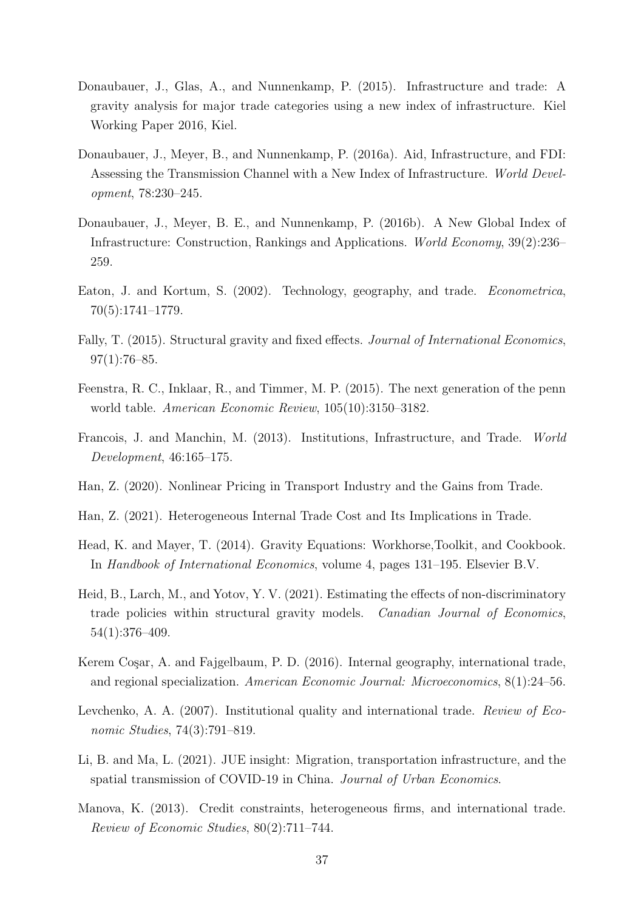- <span id="page-38-4"></span>Donaubauer, J., Glas, A., and Nunnenkamp, P. (2015). Infrastructure and trade: A gravity analysis for major trade categories using a new index of infrastructure. Kiel Working Paper 2016, Kiel.
- <span id="page-38-3"></span>Donaubauer, J., Meyer, B., and Nunnenkamp, P. (2016a). Aid, Infrastructure, and FDI: Assessing the Transmission Channel with a New Index of Infrastructure. World Development, 78:230–245.
- <span id="page-38-2"></span>Donaubauer, J., Meyer, B. E., and Nunnenkamp, P. (2016b). A New Global Index of Infrastructure: Construction, Rankings and Applications. World Economy, 39(2):236– 259.
- <span id="page-38-0"></span>Eaton, J. and Kortum, S. (2002). Technology, geography, and trade. Econometrica, 70(5):1741–1779.
- <span id="page-38-14"></span>Fally, T. (2015). Structural gravity and fixed effects. *Journal of International Economics*,  $97(1):76-85.$
- <span id="page-38-12"></span>Feenstra, R. C., Inklaar, R., and Timmer, M. P. (2015). The next generation of the penn world table. American Economic Review, 105(10):3150–3182.
- <span id="page-38-11"></span>Francois, J. and Manchin, M. (2013). Institutions, Infrastructure, and Trade. World Development, 46:165–175.
- <span id="page-38-7"></span>Han, Z. (2020). Nonlinear Pricing in Transport Industry and the Gains from Trade.
- <span id="page-38-6"></span>Han, Z. (2021). Heterogeneous Internal Trade Cost and Its Implications in Trade.
- <span id="page-38-13"></span>Head, K. and Mayer, T. (2014). Gravity Equations: Workhorse,Toolkit, and Cookbook. In Handbook of International Economics, volume 4, pages 131–195. Elsevier B.V.
- <span id="page-38-8"></span>Heid, B., Larch, M., and Yotov, Y. V. (2021). Estimating the effects of non-discriminatory trade policies within structural gravity models. Canadian Journal of Economics, 54(1):376–409.
- <span id="page-38-1"></span>Kerem Cosar, A. and Fajgelbaum, P. D. (2016). Internal geography, international trade, and regional specialization. American Economic Journal: Microeconomics, 8(1):24–56.
- <span id="page-38-9"></span>Levchenko, A. A. (2007). Institutional quality and international trade. Review of Economic Studies, 74(3):791–819.
- <span id="page-38-5"></span>Li, B. and Ma, L. (2021). JUE insight: Migration, transportation infrastructure, and the spatial transmission of COVID-19 in China. Journal of Urban Economics.
- <span id="page-38-10"></span>Manova, K. (2013). Credit constraints, heterogeneous firms, and international trade. Review of Economic Studies, 80(2):711–744.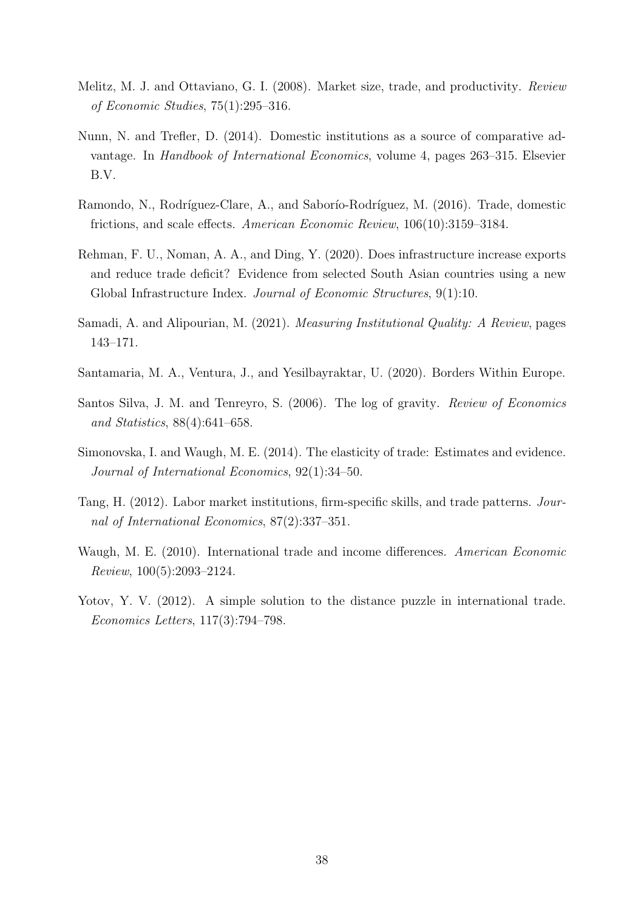- <span id="page-39-3"></span>Melitz, M. J. and Ottaviano, G. I. (2008). Market size, trade, and productivity. Review of Economic Studies, 75(1):295–316.
- <span id="page-39-6"></span>Nunn, N. and Trefler, D. (2014). Domestic institutions as a source of comparative advantage. In Handbook of International Economics, volume 4, pages 263–315. Elsevier B.V.
- <span id="page-39-0"></span>Ramondo, N., Rodríguez-Clare, A., and Saborío-Rodríguez, M. (2016). Trade, domestic frictions, and scale effects. American Economic Review, 106(10):3159–3184.
- <span id="page-39-1"></span>Rehman, F. U., Noman, A. A., and Ding, Y. (2020). Does infrastructure increase exports and reduce trade deficit? Evidence from selected South Asian countries using a new Global Infrastructure Index. Journal of Economic Structures, 9(1):10.
- <span id="page-39-7"></span>Samadi, A. and Alipourian, M. (2021). Measuring Institutional Quality: A Review, pages 143–171.
- <span id="page-39-2"></span>Santamaria, M. A., Ventura, J., and Yesilbayraktar, U. (2020). Borders Within Europe.
- <span id="page-39-8"></span>Santos Silva, J. M. and Tenreyro, S. (2006). The log of gravity. Review of Economics and Statistics, 88(4):641–658.
- <span id="page-39-10"></span>Simonovska, I. and Waugh, M. E. (2014). The elasticity of trade: Estimates and evidence. Journal of International Economics, 92(1):34–50.
- <span id="page-39-5"></span>Tang, H. (2012). Labor market institutions, firm-specific skills, and trade patterns. Journal of International Economics, 87(2):337–351.
- <span id="page-39-9"></span>Waugh, M. E. (2010). International trade and income differences. American Economic Review, 100(5):2093–2124.
- <span id="page-39-4"></span>Yotov, Y. V. (2012). A simple solution to the distance puzzle in international trade. Economics Letters, 117(3):794–798.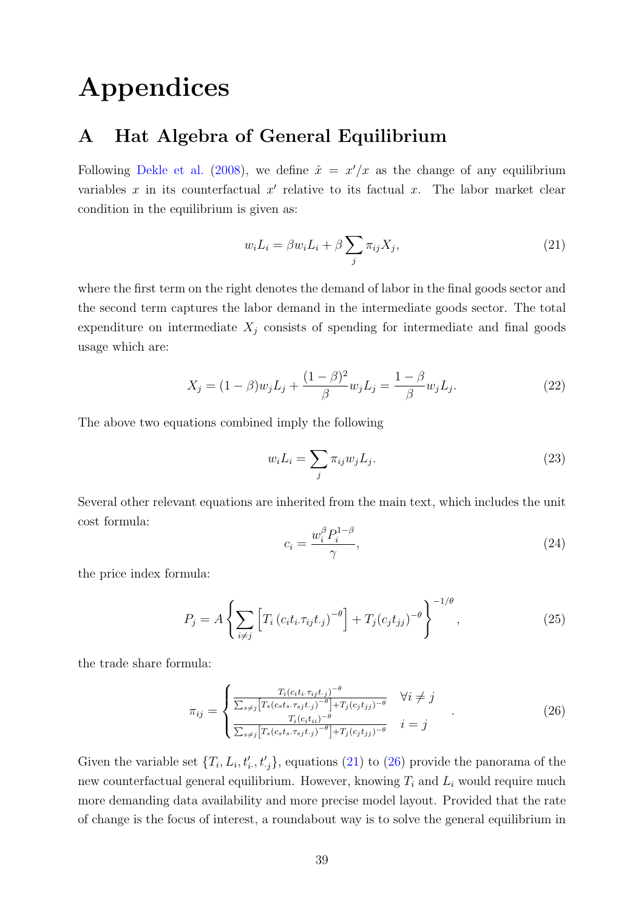# Appendices

## A Hat Algebra of General Equilibrium

Following [Dekle et al.](#page-37-7) [\(2008\)](#page-37-7), we define  $\hat{x} = x'/x$  as the change of any equilibrium variables  $x$  in its counterfactual  $x'$  relative to its factual  $x$ . The labor market clear condition in the equilibrium is given as:

<span id="page-40-0"></span>
$$
w_i L_i = \beta w_i L_i + \beta \sum_j \pi_{ij} X_j,
$$
\n(21)

where the first term on the right denotes the demand of labor in the final goods sector and the second term captures the labor demand in the intermediate goods sector. The total expenditure on intermediate  $X_j$  consists of spending for intermediate and final goods usage which are:

$$
X_j = (1 - \beta)w_j L_j + \frac{(1 - \beta)^2}{\beta} w_j L_j = \frac{1 - \beta}{\beta} w_j L_j.
$$
 (22)

The above two equations combined imply the following

$$
w_i L_i = \sum_j \pi_{ij} w_j L_j. \tag{23}
$$

Several other relevant equations are inherited from the main text, which includes the unit cost formula:

$$
c_i = \frac{w_i^{\beta} P_i^{1-\beta}}{\gamma},\tag{24}
$$

the price index formula:

$$
P_j = A \left\{ \sum_{i \neq j} \left[ T_i \left( c_i t_i . \tau_{ij} t_{\cdot j} \right)^{-\theta} \right] + T_j (c_j t_{jj})^{-\theta} \right\}^{-1/\theta}, \tag{25}
$$

the trade share formula:

<span id="page-40-1"></span>
$$
\pi_{ij} = \begin{cases}\n\frac{T_i(c_i t_i \cdot \tau_{ij} t_{\cdot j})^{-\theta}}{\sum_{s \neq j} \left[ T_s(c_s t_s \cdot \tau_{sj} t_{\cdot j})^{-\theta} \right] + T_j(c_j t_{\cdot j})^{-\theta}} & \forall i \neq j \\
\frac{T_i(c_i t_{\cdot i})^{-\theta}}{\sum_{s \neq j} \left[ T_s(c_s t_s \cdot \tau_{sj} t_{\cdot j})^{-\theta} \right] + T_j(c_j t_{\cdot j})^{-\theta}} & i = j\n\end{cases} \tag{26}
$$

Given the variable set  $\{T_i, L_i, t'_i, t'_j\}$ , equations [\(21\)](#page-40-0) to [\(26\)](#page-40-1) provide the panorama of the new counterfactual general equilibrium. However, knowing  $T_i$  and  $L_i$  would require much more demanding data availability and more precise model layout. Provided that the rate of change is the focus of interest, a roundabout way is to solve the general equilibrium in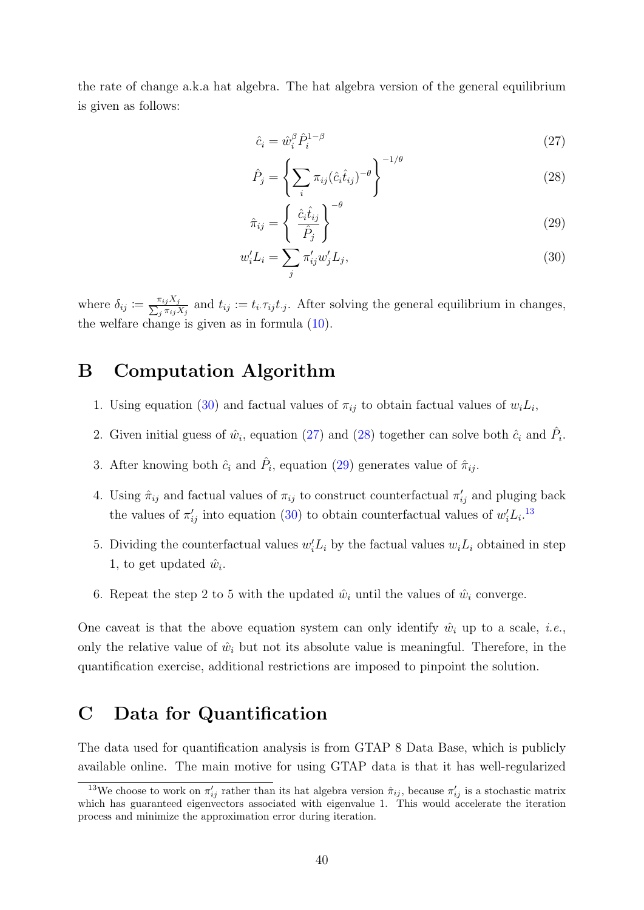the rate of change a.k.a hat algebra. The hat algebra version of the general equilibrium is given as follows:

<span id="page-41-3"></span><span id="page-41-2"></span>
$$
\hat{c}_i = \hat{w}_i^{\beta} \hat{P}_i^{1-\beta} \tag{27}
$$

$$
\hat{P}_j = \left\{ \sum_i \pi_{ij} (\hat{c}_i \hat{t}_{ij})^{-\theta} \right\}^{-1/\theta} \tag{28}
$$

<span id="page-41-4"></span><span id="page-41-1"></span>
$$
\hat{\pi}_{ij} = \left\{ \begin{array}{c} \hat{c}_i \hat{t}_{ij} \\ \hat{P}_j \end{array} \right\}^{-\theta} \tag{29}
$$

$$
w_i' L_i = \sum_j \pi_{ij}' w_j' L_j,\tag{30}
$$

where  $\delta_{ij} \coloneqq \frac{\pi_{ij} X_j}{\sum_j \pi_{ij} X_j}$  and  $t_{ij} := t_i \cdot \tau_{ij} t_j$ . After solving the general equilibrium in changes, the welfare change is given as in formula [\(10\)](#page-7-2).

### B Computation Algorithm

- 1. Using equation [\(30\)](#page-41-1) and factual values of  $\pi_{ij}$  to obtain factual values of  $w_i L_i$ ,
- 2. Given initial guess of  $\hat{w}_i$ , equation [\(27\)](#page-41-2) and [\(28\)](#page-41-3) together can solve both  $\hat{c}_i$  and  $\hat{P}_i$ .
- 3. After knowing both  $\hat{c}_i$  and  $\hat{P}_i$ , equation [\(29\)](#page-41-4) generates value of  $\hat{\pi}_{ij}$ .
- 4. Using  $\hat{\pi}_{ij}$  and factual values of  $\pi_{ij}$  to construct counterfactual  $\pi'_{ij}$  and pluging back the values of  $\pi'_{ij}$  into equation [\(30\)](#page-41-1) to obtain counterfactual values of  $w'_i L_i$ <sup>[13](#page-41-5)</sup>
- 5. Dividing the counterfactual values  $w_i L_i$  by the factual values  $w_i L_i$  obtained in step 1, to get updated  $\hat{w}_i$ .
- 6. Repeat the step 2 to 5 with the updated  $\hat{w}_i$  until the values of  $\hat{w}_i$  converge.

One caveat is that the above equation system can only identify  $\hat{w}_i$  up to a scale, *i.e.*, only the relative value of  $\hat{w}_i$  but not its absolute value is meaningful. Therefore, in the quantification exercise, additional restrictions are imposed to pinpoint the solution.

#### <span id="page-41-0"></span>C Data for Quantification

The data used for quantification analysis is from GTAP 8 Data Base, which is publicly available online. The main motive for using GTAP data is that it has well-regularized

<span id="page-41-5"></span><sup>&</sup>lt;sup>13</sup>We choose to work on  $\pi'_{ij}$  rather than its hat algebra version  $\hat{\pi}_{ij}$ , because  $\pi'_{ij}$  is a stochastic matrix which has guaranteed eigenvectors associated with eigenvalue 1. This would accelerate the iteration process and minimize the approximation error during iteration.